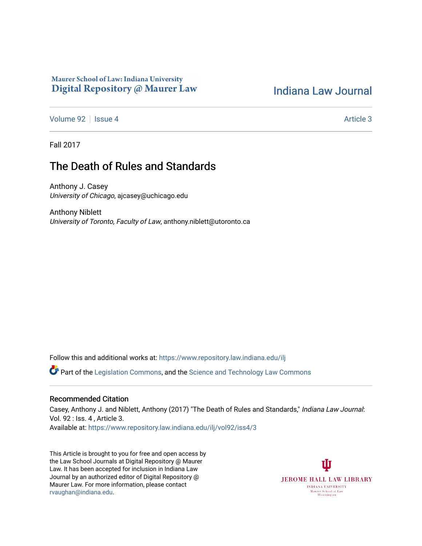# Maurer School of Law: Indiana University Digital Repository @ Maurer Law

# [Indiana Law Journal](https://www.repository.law.indiana.edu/ilj)

[Volume 92](https://www.repository.law.indiana.edu/ilj/vol92) | [Issue 4](https://www.repository.law.indiana.edu/ilj/vol92/iss4) Article 3

Fall 2017

# The Death of Rules and Standards

Anthony J. Casey University of Chicago, ajcasey@uchicago.edu

Anthony Niblett University of Toronto, Faculty of Law, anthony.niblett@utoronto.ca

Follow this and additional works at: [https://www.repository.law.indiana.edu/ilj](https://www.repository.law.indiana.edu/ilj?utm_source=www.repository.law.indiana.edu%2Filj%2Fvol92%2Fiss4%2F3&utm_medium=PDF&utm_campaign=PDFCoverPages) 

Part of the [Legislation Commons](http://network.bepress.com/hgg/discipline/859?utm_source=www.repository.law.indiana.edu%2Filj%2Fvol92%2Fiss4%2F3&utm_medium=PDF&utm_campaign=PDFCoverPages), and the [Science and Technology Law Commons](http://network.bepress.com/hgg/discipline/875?utm_source=www.repository.law.indiana.edu%2Filj%2Fvol92%2Fiss4%2F3&utm_medium=PDF&utm_campaign=PDFCoverPages) 

# Recommended Citation

Casey, Anthony J. and Niblett, Anthony (2017) "The Death of Rules and Standards," Indiana Law Journal: Vol. 92 : Iss. 4 , Article 3. Available at: [https://www.repository.law.indiana.edu/ilj/vol92/iss4/3](https://www.repository.law.indiana.edu/ilj/vol92/iss4/3?utm_source=www.repository.law.indiana.edu%2Filj%2Fvol92%2Fiss4%2F3&utm_medium=PDF&utm_campaign=PDFCoverPages) 

This Article is brought to you for free and open access by the Law School Journals at Digital Repository @ Maurer Law. It has been accepted for inclusion in Indiana Law Journal by an authorized editor of Digital Repository @ Maurer Law. For more information, please contact [rvaughan@indiana.edu.](mailto:rvaughan@indiana.edu)

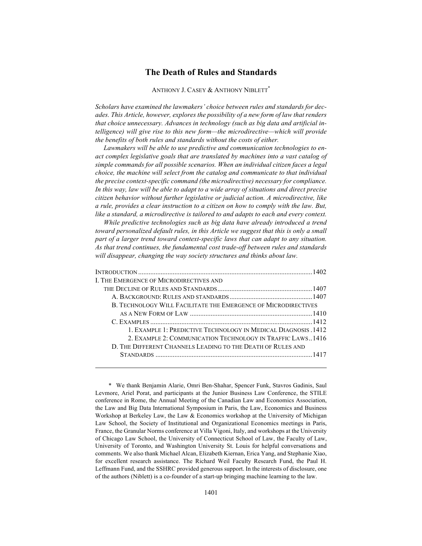# **The Death of Rules and Standards**

# ANTHONY J. CASEY & ANTHONY NIBLETT<sup>\*</sup>

*Scholars have examined the lawmakers' choice between rules and standards for decades. This Article, however, explores the possibility of a new form of law that renders that choice unnecessary. Advances in technology (such as big data and artificial intelligence) will give rise to this new form—the microdirective—which will provide the benefits of both rules and standards without the costs of either.* 

*Lawmakers will be able to use predictive and communication technologies to enact complex legislative goals that are translated by machines into a vast catalog of simple commands for all possible scenarios. When an individual citizen faces a legal choice, the machine will select from the catalog and communicate to that individual the precise context-specific command (the microdirective) necessary for compliance. In this way, law will be able to adapt to a wide array of situations and direct precise citizen behavior without further legislative or judicial action. A microdirective, like a rule, provides a clear instruction to a citizen on how to comply with the law. But, like a standard, a microdirective is tailored to and adapts to each and every context.* 

*While predictive technologies such as big data have already introduced a trend toward personalized default rules, in this Article we suggest that this is only a small part of a larger trend toward context-specific laws that can adapt to any situation. As that trend continues, the fundamental cost trade-off between rules and standards will disappear, changing the way society structures and thinks about law.*

| I. THE EMERGENCE OF MICRODIRECTIVES AND                        |  |
|----------------------------------------------------------------|--|
|                                                                |  |
|                                                                |  |
| B. TECHNOLOGY WILL FACILITATE THE EMERGENCE OF MICRODIRECTIVES |  |
|                                                                |  |
|                                                                |  |
| 1. EXAMPLE 1: PREDICTIVE TECHNOLOGY IN MEDICAL DIAGNOSIS .1412 |  |
| 2. EXAMPLE 2: COMMUNICATION TECHNOLOGY IN TRAFFIC LAWS1416     |  |
| D. THE DIFFERENT CHANNELS LEADING TO THE DEATH OF RULES AND    |  |
|                                                                |  |
|                                                                |  |
|                                                                |  |

\* We thank Benjamin Alarie, Omri Ben-Shahar, Spencer Funk, Stavros Gadinis, Saul Levmore, Ariel Porat, and participants at the Junior Business Law Conference, the STILE conference in Rome, the Annual Meeting of the Canadian Law and Economics Association, the Law and Big Data International Symposium in Paris, the Law, Economics and Business Workshop at Berkeley Law, the Law & Economics workshop at the University of Michigan Law School, the Society of Institutional and Organizational Economics meetings in Paris, France, the Granular Norms conference at Villa Vigoni, Italy, and workshops at the University of Chicago Law School, the University of Connecticut School of Law, the Faculty of Law, University of Toronto, and Washington University St. Louis for helpful conversations and comments. We also thank Michael Alcan, Elizabeth Kiernan, Erica Yang, and Stephanie Xiao, for excellent research assistance. The Richard Weil Faculty Research Fund, the Paul H. Leffmann Fund, and the SSHRC provided generous support. In the interests of disclosure, one of the authors (Niblett) is a co-founder of a start-up bringing machine learning to the law.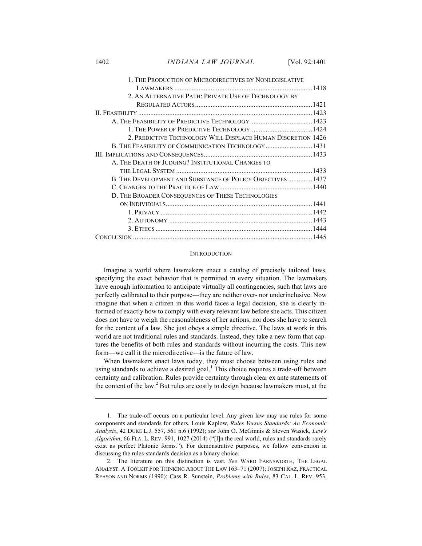1402 *INDIANA LAW JOURNAL* [Vol. 92:1401

| 1. THE PRODUCTION OF MICRODIRECTIVES BY NONLEGISLATIVE       |  |
|--------------------------------------------------------------|--|
|                                                              |  |
| 2. AN ALTERNATIVE PATH: PRIVATE USE OF TECHNOLOGY BY         |  |
|                                                              |  |
|                                                              |  |
|                                                              |  |
|                                                              |  |
| 2. PREDICTIVE TECHNOLOGY WILL DISPLACE HUMAN DISCRETION 1426 |  |
| B. THE FEASIBILITY OF COMMUNICATION TECHNOLOGY  1431         |  |
|                                                              |  |
| A. THE DEATH OF JUDGING? INSTITUTIONAL CHANGES TO            |  |
|                                                              |  |
| B. THE DEVELOPMENT AND SUBSTANCE OF POLICY OBJECTIVES  1437  |  |
|                                                              |  |
| D. THE BROADER CONSEQUENCES OF THESE TECHNOLOGIES            |  |
|                                                              |  |
|                                                              |  |
|                                                              |  |
|                                                              |  |
|                                                              |  |

#### **INTRODUCTION**

Imagine a world where lawmakers enact a catalog of precisely tailored laws, specifying the exact behavior that is permitted in every situation. The lawmakers have enough information to anticipate virtually all contingencies, such that laws are perfectly calibrated to their purpose—they are neither over- nor underinclusive. Now imagine that when a citizen in this world faces a legal decision, she is clearly informed of exactly how to comply with every relevant law before she acts. This citizen does not have to weigh the reasonableness of her actions, nor does she have to search for the content of a law. She just obeys a simple directive. The laws at work in this world are not traditional rules and standards. Instead, they take a new form that captures the benefits of both rules and standards without incurring the costs. This new form—we call it the microdirective—is the future of law.

When lawmakers enact laws today, they must choose between using rules and using standards to achieve a desired goal.<sup>1</sup> This choice requires a trade-off between certainty and calibration. Rules provide certainty through clear ex ante statements of the content of the law. $^{2}$  But rules are costly to design because lawmakers must, at the

2. The literature on this distinction is vast. *See* WARD FARNSWORTH, THE LEGAL ANALYST: A TOOLKIT FOR THINKING ABOUT THE LAW 163–71 (2007); JOSEPH RAZ, PRACTICAL REASON AND NORMS (1990); Cass R. Sunstein, *Problems with Rules*, 83 CAL. L. REV. 953,

<sup>1.</sup> The trade-off occurs on a particular level. Any given law may use rules for some components and standards for others. Louis Kaplow, *Rules Versus Standards: An Economic Analysis*, 42 DUKE L.J. 557, 561 n.6 (1992); *see* John O. McGinnis & Steven Wasick, *Law's Algorithm*, 66 FLA. L. REV. 991, 1027 (2014) ("[I]n the real world, rules and standards rarely exist as perfect Platonic forms."). For demonstrative purposes, we follow convention in discussing the rules-standards decision as a binary choice.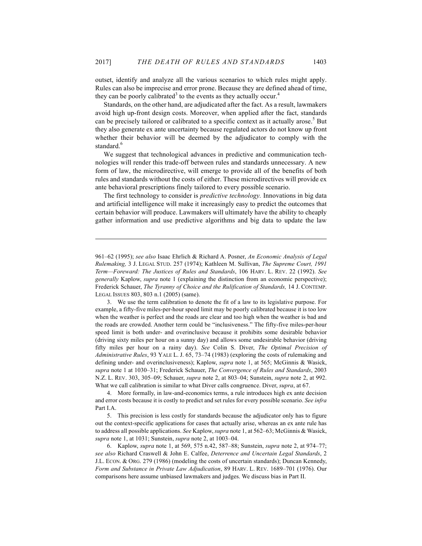outset, identify and analyze all the various scenarios to which rules might apply. Rules can also be imprecise and error prone. Because they are defined ahead of time, they can be poorly calibrated<sup>3</sup> to the events as they actually occur.<sup>4</sup>

Standards, on the other hand, are adjudicated after the fact. As a result, lawmakers avoid high up-front design costs. Moreover, when applied after the fact, standards can be precisely tailored or calibrated to a specific context as it actually arose.<sup>5</sup> But they also generate ex ante uncertainty because regulated actors do not know up front whether their behavior will be deemed by the adjudicator to comply with the standard.<sup>6</sup>

We suggest that technological advances in predictive and communication technologies will render this trade-off between rules and standards unnecessary. A new form of law, the microdirective, will emerge to provide all of the benefits of both rules and standards without the costs of either. These microdirectives will provide ex ante behavioral prescriptions finely tailored to every possible scenario.

The first technology to consider is *predictive technology.* Innovations in big data and artificial intelligence will make it increasingly easy to predict the outcomes that certain behavior will produce. Lawmakers will ultimately have the ability to cheaply gather information and use predictive algorithms and big data to update the law

 $\overline{a}$ 

4. More formally, in law-and-economics terms, a rule introduces high ex ante decision and error costs because it is costly to predict and set rules for every possible scenario. *See infra* Part I.A.

5. This precision is less costly for standards because the adjudicator only has to figure out the context-specific applications for cases that actually arise, whereas an ex ante rule has to address all possible applications. *See* Kaplow, *supra* note 1, at 562–63; McGinnis & Wasick, *supra* note 1, at 1031; Sunstein, *supra* note 2, at 1003–04.

6. Kaplow, *supra* note 1, at 569, 575 n.42, 587–88; Sunstein, *supra* note 2, at 974–77; *see also* Richard Craswell & John E. Calfee, *Deterrence and Uncertain Legal Standards*, 2 J.L. ECON. & ORG. 279 (1986) (modeling the costs of uncertain standards); Duncan Kennedy, *Form and Substance in Private Law Adjudication*, 89 HARV. L. REV. 1689–701 (1976). Our comparisons here assume unbiased lawmakers and judges. We discuss bias in Part II.

<sup>961–62 (1995);</sup> *see also* Isaac Ehrlich & Richard A. Posner, *An Economic Analysis of Legal Rulemaking,* 3 J. LEGAL STUD. 257 (1974); Kathleen M. Sullivan, *The Supreme Court, 1991 Term—Foreward: The Justices of Rules and Standards*, 106 HARV. L. REV. 22 (1992). *See generally* Kaplow, *supra* note 1 (explaining the distinction from an economic perspective); Frederick Schauer, *The Tyranny of Choice and the Rulification of Standards,* 14 J. CONTEMP. LEGAL ISSUES 803, 803 n.1 (2005) (same).

<sup>3.</sup> We use the term calibration to denote the fit of a law to its legislative purpose. For example, a fifty-five miles-per-hour speed limit may be poorly calibrated because it is too low when the weather is perfect and the roads are clear and too high when the weather is bad and the roads are crowded. Another term could be "inclusiveness." The fifty-five miles-per-hour speed limit is both under- and overinclusive because it prohibits some desirable behavior (driving sixty miles per hour on a sunny day) and allows some undesirable behavior (driving fifty miles per hour on a rainy day). *See* Colin S. Diver, *The Optimal Precision of Administrative Rules*, 93 YALE L. J. 65, 73–74 (1983) (exploring the costs of rulemaking and defining under- and overinclusiveness); Kaplow, *supra* note 1, at 565; McGinnis & Wasick, *supra* note 1 at 1030–31; Frederick Schauer, *The Convergence of Rules and Standards*, 2003 N.Z. L. REV. 303, 305–09; Schauer, *supra* note 2, at 803–04; Sunstein, *supra* note 2, at 992. What we call calibration is similar to what Diver calls congruence. Diver, *supra*, at 67.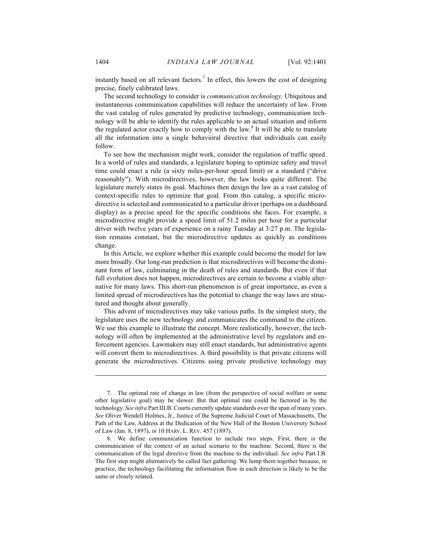instantly based on all relevant factors.<sup>7</sup> In effect, this lowers the cost of designing precise, finely calibrated laws.

The second technology to consider is *communication technology.* Ubiquitous and instantaneous communication capabilities will reduce the uncertainty of law. From the vast catalog of rules generated by predictive technology, communication technology will be able to identify the rules applicable to an actual situation and inform the regulated actor exactly how to comply with the law.<sup>8</sup> It will be able to translate all the information into a single behavioral directive that individuals can easily follow.

To see how the mechanism might work, consider the regulation of traffic speed. In a world of rules and standards, a legislature hoping to optimize safety and travel time could enact a rule (a sixty miles-per-hour speed limit) or a standard ("drive reasonably"). With microdirectives, however, the law looks quite different. The legislature merely states its goal. Machines then design the law as a vast catalog of context-specific rules to optimize that goal. From this catalog, a specific microdirective is selected and communicated to a particular driver (perhaps on a dashboard display) as a precise speed for the specific conditions she faces. For example, a microdirective might provide a speed limit of 51.2 miles per hour for a particular driver with twelve years of experience on a rainy Tuesday at 3:27 p.m. The legislation remains constant, but the microdirective updates as quickly as conditions change.

In this Article, we explore whether this example could become the model for law more broadly. Our long-run prediction is that microdirectives will become the dominant form of law, culminating in the death of rules and standards. But even if that full evolution does not happen, microdirectives are certain to become a viable alternative for many laws. This short-run phenomenon is of great importance, as even a limited spread of microdirectives has the potential to change the way laws are structured and thought about generally.

This advent of microdirectives may take various paths. In the simplest story, the legislature uses the new technology and communicates the command to the citizen. We use this example to illustrate the concept. More realistically, however, the technology will often be implemented at the administrative level by regulators and enforcement agencies. Lawmakers may still enact standards, but administrative agents will convert them to microdirectives. A third possibility is that private citizens will generate the microdirectives. Citizens using private predictive technology may

<sup>7.</sup> The optimal rate of change in law (from the perspective of social welfare or some other legislative goal) may be slower. But that optimal rate could be factored in by the technology. *See infra* Part III.B. Courts currently update standards over the span of many years. *See* Oliver Wendell Holmes, Jr., Justice of the Supreme Judicial Court of Massachusetts, The Path of the Law, Address at the Dedication of the New Hall of the Boston University School of Law (Jan. 8, 1897), *in* 10 HARV. L. REV. 457 (1897).

<sup>8.</sup> We define communication function to include two steps. First, there is the communication of the context of an actual scenario to the machine. Second, there is the communication of the legal directive from the machine to the individual. *See infra* Part I.B. The first step might alternatively be called fact gathering. We lump them together because, in practice, the technology facilitating the information flow in each direction is likely to be the same or closely related.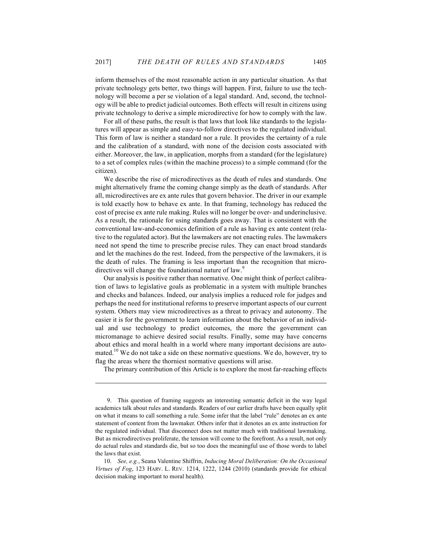inform themselves of the most reasonable action in any particular situation. As that private technology gets better, two things will happen. First, failure to use the technology will become a per se violation of a legal standard. And, second, the technology will be able to predict judicial outcomes. Both effects will result in citizens using private technology to derive a simple microdirective for how to comply with the law.

For all of these paths, the result is that laws that look like standards to the legislatures will appear as simple and easy-to-follow directives to the regulated individual. This form of law is neither a standard nor a rule. It provides the certainty of a rule and the calibration of a standard, with none of the decision costs associated with either. Moreover, the law, in application, morphs from a standard (for the legislature) to a set of complex rules (within the machine process) to a simple command (for the citizen).

We describe the rise of microdirectives as the death of rules and standards. One might alternatively frame the coming change simply as the death of standards. After all, microdirectives are ex ante rules that govern behavior. The driver in our example is told exactly how to behave ex ante. In that framing, technology has reduced the cost of precise ex ante rule making. Rules will no longer be over- and underinclusive. As a result, the rationale for using standards goes away. That is consistent with the conventional law-and-economics definition of a rule as having ex ante content (relative to the regulated actor). But the lawmakers are not enacting rules. The lawmakers need not spend the time to prescribe precise rules. They can enact broad standards and let the machines do the rest. Indeed, from the perspective of the lawmakers, it is the death of rules. The framing is less important than the recognition that microdirectives will change the foundational nature of law.<sup>9</sup>

Our analysis is positive rather than normative. One might think of perfect calibration of laws to legislative goals as problematic in a system with multiple branches and checks and balances. Indeed, our analysis implies a reduced role for judges and perhaps the need for institutional reforms to preserve important aspects of our current system. Others may view microdirectives as a threat to privacy and autonomy. The easier it is for the government to learn information about the behavior of an individual and use technology to predict outcomes, the more the government can micromanage to achieve desired social results. Finally, some may have concerns about ethics and moral health in a world where many important decisions are automated.<sup>10</sup> We do not take a side on these normative questions. We do, however, try to flag the areas where the thorniest normative questions will arise.

The primary contribution of this Article is to explore the most far-reaching effects

<sup>9.</sup> This question of framing suggests an interesting semantic deficit in the way legal academics talk about rules and standards. Readers of our earlier drafts have been equally split on what it means to call something a rule. Some infer that the label "rule" denotes an ex ante statement of content from the lawmaker. Others infer that it denotes an ex ante instruction for the regulated individual. That disconnect does not matter much with traditional lawmaking. But as microdirectives proliferate, the tension will come to the forefront. As a result, not only do actual rules and standards die, but so too does the meaningful use of those words to label the laws that exist.

<sup>10.</sup> *See, e.g.*, Seana Valentine Shiffrin, *Inducing Moral Deliberation: On the Occasional Virtues of Fog*, 123 HARV. L. REV. 1214, 1222, 1244 (2010) (standards provide for ethical decision making important to moral health).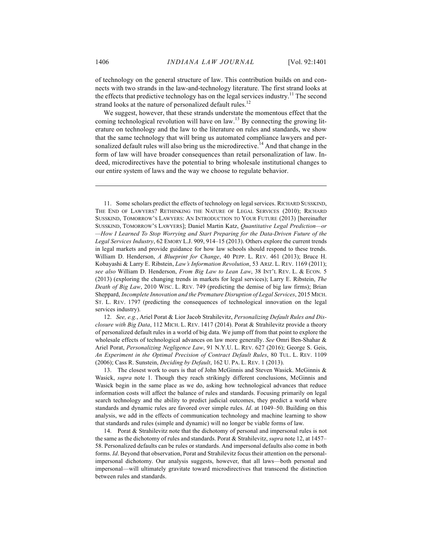of technology on the general structure of law. This contribution builds on and connects with two strands in the law-and-technology literature. The first strand looks at the effects that predictive technology has on the legal services industry.<sup>11</sup> The second strand looks at the nature of personalized default rules.<sup>12</sup>

We suggest, however, that these strands understate the momentous effect that the coming technological revolution will have on law.<sup>13</sup> By connecting the growing literature on technology and the law to the literature on rules and standards, we show that the same technology that will bring us automated compliance lawyers and personalized default rules will also bring us the microdirective.<sup>14</sup> And that change in the form of law will have broader consequences than retail personalization of law. Indeed, microdirectives have the potential to bring wholesale institutional changes to our entire system of laws and the way we choose to regulate behavior.

11. Some scholars predict the effects of technology on legal services. RICHARD SUSSKIND, THE END OF LAWYERS? RETHINKING THE NATURE OF LEGAL SERVICES (2010); RICHARD SUSSKIND, TOMORROW'S LAWYERS: AN INTRODUCTION TO YOUR FUTURE (2013) [hereinafter SUSSKIND, TOMORROW'S LAWYERS]; Daniel Martin Katz, *Quantitative Legal Prediction—or —How I Learned To Stop Worrying and Start Preparing for the Data-Driven Future of the Legal Services Industry*, 62 EMORY L.J. 909, 914–15 (2013). Others explore the current trends in legal markets and provide guidance for how law schools should respond to these trends. William D. Henderson, *A Blueprint for Change*, 40 PEPP. L. REV. 461 (2013); Bruce H. Kobayashi & Larry E. Ribstein, *Law's Information Revolution*, 53 ARIZ. L. REV. 1169 (2011); *see also* William D. Henderson, *From Big Law to Lean Law*, 38 INT'L REV. L. & ECON. 5 (2013) (exploring the changing trends in markets for legal services); Larry E. Ribstein, *The Death of Big Law*, 2010 WISC. L. REV. 749 (predicting the demise of big law firms); Brian Sheppard, *Incomplete Innovation and the Premature Disruption of Legal Services*, 2015 MICH. ST. L. REV. 1797 (predicting the consequences of technological innovation on the legal services industry).

12. *See, e.g.*, Ariel Porat & Lior Jacob Strahilevitz, *Personalizing Default Rules and Disclosure with Big Data*, 112 MICH. L. REV. 1417 (2014). Porat & Strahilevitz provide a theory of personalized default rules in a world of big data. We jump off from that point to explore the wholesale effects of technological advances on law more generally. *See* Omri Ben-Shahar & Ariel Porat, *Personalizing Negligence Law*, 91 N.Y.U. L. REV. 627 (2016); George S. Geis, *An Experiment in the Optimal Precision of Contract Default Rules*, 80 TUL. L. REV. 1109 (2006); Cass R. Sunstein, *Deciding by Default*, 162 U. PA. L. REV. 1 (2013).

13. The closest work to ours is that of John McGinnis and Steven Wasick. McGinnis & Wasick, *supra* note 1. Though they reach strikingly different conclusions, McGinnis and Wasick begin in the same place as we do, asking how technological advances that reduce information costs will affect the balance of rules and standards. Focusing primarily on legal search technology and the ability to predict judicial outcomes, they predict a world where standards and dynamic rules are favored over simple rules. *Id*. at 1049–50. Building on this analysis, we add in the effects of communication technology and machine learning to show that standards and rules (simple and dynamic) will no longer be viable forms of law.

14. Porat & Strahilevitz note that the dichotomy of personal and impersonal rules is not the same as the dichotomy of rules and standards. Porat & Strahilevitz, *supra* note 12, at 1457– 58. Personalized defaults can be rules or standards. And impersonal defaults also come in both forms. *Id*. Beyond that observation, Porat and Strahilevitz focus their attention on the personalimpersonal dichotomy. Our analysis suggests, however, that all laws—both personal and impersonal—will ultimately gravitate toward microdirectives that transcend the distinction between rules and standards.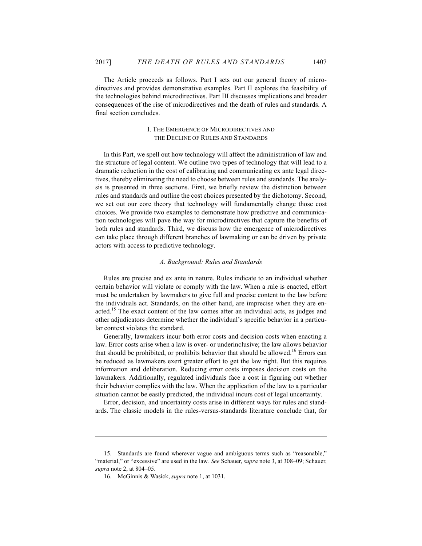The Article proceeds as follows. Part I sets out our general theory of microdirectives and provides demonstrative examples. Part II explores the feasibility of the technologies behind microdirectives. Part III discusses implications and broader consequences of the rise of microdirectives and the death of rules and standards. A final section concludes.

# I. THE EMERGENCE OF MICRODIRECTIVES AND THE DECLINE OF RULES AND STANDARDS

In this Part, we spell out how technology will affect the administration of law and the structure of legal content. We outline two types of technology that will lead to a dramatic reduction in the cost of calibrating and communicating ex ante legal directives, thereby eliminating the need to choose between rules and standards. The analysis is presented in three sections. First, we briefly review the distinction between rules and standards and outline the cost choices presented by the dichotomy. Second, we set out our core theory that technology will fundamentally change those cost choices. We provide two examples to demonstrate how predictive and communication technologies will pave the way for microdirectives that capture the benefits of both rules and standards. Third, we discuss how the emergence of microdirectives can take place through different branches of lawmaking or can be driven by private actors with access to predictive technology.

## *A. Background: Rules and Standards*

Rules are precise and ex ante in nature. Rules indicate to an individual whether certain behavior will violate or comply with the law. When a rule is enacted, effort must be undertaken by lawmakers to give full and precise content to the law before the individuals act. Standards, on the other hand, are imprecise when they are enacted.<sup>15</sup> The exact content of the law comes after an individual acts, as judges and other adjudicators determine whether the individual's specific behavior in a particular context violates the standard.

Generally, lawmakers incur both error costs and decision costs when enacting a law. Error costs arise when a law is over- or underinclusive; the law allows behavior that should be prohibited, or prohibits behavior that should be allowed.<sup>16</sup> Errors can be reduced as lawmakers exert greater effort to get the law right. But this requires information and deliberation. Reducing error costs imposes decision costs on the lawmakers. Additionally, regulated individuals face a cost in figuring out whether their behavior complies with the law. When the application of the law to a particular situation cannot be easily predicted, the individual incurs cost of legal uncertainty.

Error, decision, and uncertainty costs arise in different ways for rules and standards. The classic models in the rules-versus-standards literature conclude that, for

<sup>15.</sup> Standards are found wherever vague and ambiguous terms such as "reasonable," "material," or "excessive" are used in the law. *See* Schauer, *supra* note 3, at 308–09; Schauer, *supra* note 2, at 804–05.

<sup>16.</sup> McGinnis & Wasick, *supra* note 1, at 1031.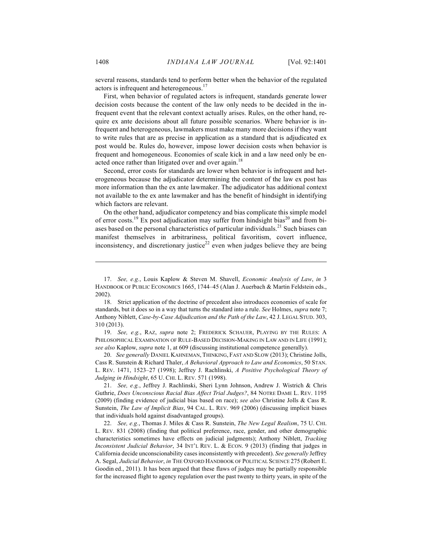several reasons, standards tend to perform better when the behavior of the regulated actors is infrequent and heterogeneous.<sup>17</sup>

First, when behavior of regulated actors is infrequent, standards generate lower decision costs because the content of the law only needs to be decided in the infrequent event that the relevant context actually arises. Rules, on the other hand, require ex ante decisions about all future possible scenarios. Where behavior is infrequent and heterogeneous, lawmakers must make many more decisions if they want to write rules that are as precise in application as a standard that is adjudicated ex post would be. Rules do, however, impose lower decision costs when behavior is frequent and homogeneous. Economies of scale kick in and a law need only be enacted once rather than litigated over and over again.<sup>18</sup>

Second, error costs for standards are lower when behavior is infrequent and heterogeneous because the adjudicator determining the content of the law ex post has more information than the ex ante lawmaker. The adjudicator has additional context not available to the ex ante lawmaker and has the benefit of hindsight in identifying which factors are relevant.

On the other hand, adjudicator competency and bias complicate this simple model of error costs.<sup>19</sup> Ex post adjudication may suffer from hindsight bias<sup>20</sup> and from biases based on the personal characteristics of particular individuals.<sup>21</sup> Such biases can manifest themselves in arbitrariness, political favoritism, covert influence, inconsistency, and discretionary justice<sup>22</sup> even when judges believe they are being

19. *See, e.g.*, RAZ, *supra* note 2; FREDERICK SCHAUER, PLAYING BY THE RULES: A PHILOSOPHICAL EXAMINATION OF RULE-BASED DECISION-MAKING IN LAW AND IN LIFE (1991); *see also* Kaplow, *supra* note 1, at 609 (discussing institutional competence generally).

20. *See generally* DANIEL KAHNEMAN, THINKING, FAST AND SLOW (2013); Christine Jolls, Cass R. Sunstein & Richard Thaler, *A Behavioral Approach to Law and Economics*, 50 STAN. L. REV. 1471, 1523–27 (1998); Jeffrey J. Rachlinski, *A Positive Psychological Theory of Judging in Hindsight*, 65 U. CHI. L. REV. 571 (1998).

21. *See, e.g.*, Jeffrey J. Rachlinski, Sheri Lynn Johnson, Andrew J. Wistrich & Chris Guthrie, *Does Unconscious Racial Bias Affect Trial Judges?*, 84 NOTRE DAME L. REV. 1195 (2009) (finding evidence of judicial bias based on race); *see also* Christine Jolls & Cass R. Sunstein, *The Law of Implicit Bias*, 94 CAL. L. REV. 969 (2006) (discussing implicit biases that individuals hold against disadvantaged groups).

22. *See, e.g.*, Thomas J. Miles & Cass R. Sunstein, *The New Legal Realism*, 75 U. CHI. L. REV. 831 (2008) (finding that political preference, race, gender, and other demographic characteristics sometimes have effects on judicial judgments); Anthony Niblett, *Tracking Inconsistent Judicial Behavior*, 34 INT'L REV. L. & ECON. 9 (2013) (finding that judges in California decide unconscionability cases inconsistently with precedent). *See generally* Jeffrey A. Segal, *Judicial Behavior*, *in* THE OXFORD HANDBOOK OF POLITICAL SCIENCE 275 (Robert E. Goodin ed., 2011). It has been argued that these flaws of judges may be partially responsible for the increased flight to agency regulation over the past twenty to thirty years, in spite of the

<sup>17.</sup> *See, e.g.*, Louis Kaplow & Steven M. Shavell, *Economic Analysis of Law*, *in* 3 HANDBOOK OF PUBLIC ECONOMICS 1665, 1744–45 (Alan J. Auerbach & Martin Feldstein eds., 2002).

<sup>18.</sup> Strict application of the doctrine of precedent also introduces economies of scale for standards, but it does so in a way that turns the standard into a rule. *See* Holmes, *supra* note 7; Anthony Niblett, *Case-by-Case Adjudication and the Path of the Law*, 42 J. LEGAL STUD. 303, 310 (2013).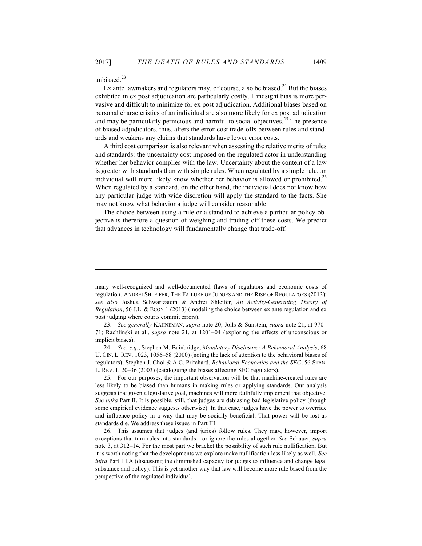unbiased.<sup>23</sup>

 $\overline{a}$ 

Ex ante lawmakers and regulators may, of course, also be biased.<sup>24</sup> But the biases exhibited in ex post adjudication are particularly costly. Hindsight bias is more pervasive and difficult to minimize for ex post adjudication. Additional biases based on personal characteristics of an individual are also more likely for ex post adjudication and may be particularly pernicious and harmful to social objectives.<sup>25</sup> The presence of biased adjudicators, thus, alters the error-cost trade-offs between rules and standards and weakens any claims that standards have lower error costs.

A third cost comparison is also relevant when assessing the relative merits of rules and standards: the uncertainty cost imposed on the regulated actor in understanding whether her behavior complies with the law. Uncertainty about the content of a law is greater with standards than with simple rules. When regulated by a simple rule, an individual will more likely know whether her behavior is allowed or prohibited.<sup>26</sup> When regulated by a standard, on the other hand, the individual does not know how any particular judge with wide discretion will apply the standard to the facts. She may not know what behavior a judge will consider reasonable.

The choice between using a rule or a standard to achieve a particular policy objective is therefore a question of weighing and trading off these costs. We predict that advances in technology will fundamentally change that trade-off.

24. *See, e.g.*, Stephen M. Bainbridge, *Mandatory Disclosure: A Behavioral Analysis*, 68 U. CIN. L. REV. 1023, 1056–58 (2000) (noting the lack of attention to the behavioral biases of regulators); Stephen J. Choi & A.C. Pritchard, *Behavioral Economics and the SEC*, 56 STAN. L. REV. 1, 20–36 (2003) (cataloguing the biases affecting SEC regulators).

25. For our purposes, the important observation will be that machine-created rules are less likely to be biased than humans in making rules or applying standards. Our analysis suggests that given a legislative goal, machines will more faithfully implement that objective. *See infra* Part II. It is possible, still, that judges are debiasing bad legislative policy (though some empirical evidence suggests otherwise). In that case, judges have the power to override and influence policy in a way that may be socially beneficial. That power will be lost as standards die. We address these issues in Part III.

26. This assumes that judges (and juries) follow rules. They may, however, import exceptions that turn rules into standards—or ignore the rules altogether. *See* Schauer, *supra* note 3, at 312–14. For the most part we bracket the possibility of such rule nullification. But it is worth noting that the developments we explore make nullification less likely as well. *See infra* Part III.A (discussing the diminished capacity for judges to influence and change legal substance and policy). This is yet another way that law will become more rule based from the perspective of the regulated individual.

many well-recognized and well-documented flaws of regulators and economic costs of regulation. ANDREI SHLEIFER, THE FAILURE OF JUDGES AND THE RISE OF REGULATORS (2012); *see also* Joshua Schwartzstein & Andrei Shleifer, *An Activity-Generating Theory of Regulation*, 56 J.L. & ECON 1 (2013) (modeling the choice between ex ante regulation and ex post judging where courts commit errors).

<sup>23.</sup> *See generally* KAHNEMAN, *supra* note 20; Jolls & Sunstein, *supra* note 21, at 970– 71; Rachlinski et al., *supra* note 21, at 1201–04 (exploring the effects of unconscious or implicit biases).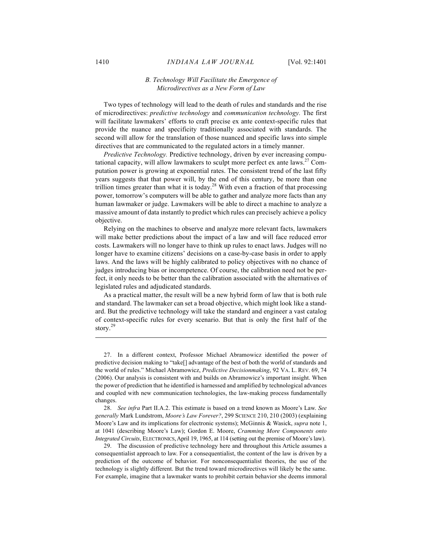# *B. Technology Will Facilitate the Emergence of Microdirectives as a New Form of Law*

Two types of technology will lead to the death of rules and standards and the rise of microdirectives: *predictive technology* and *communication technology.* The first will facilitate lawmakers' efforts to craft precise ex ante context-specific rules that provide the nuance and specificity traditionally associated with standards. The second will allow for the translation of those nuanced and specific laws into simple directives that are communicated to the regulated actors in a timely manner.

*Predictive Technology.* Predictive technology, driven by ever increasing computational capacity, will allow lawmakers to sculpt more perfect ex ante laws.<sup>27</sup> Computation power is growing at exponential rates. The consistent trend of the last fifty years suggests that that power will, by the end of this century, be more than one trillion times greater than what it is today.<sup>28</sup> With even a fraction of that processing power, tomorrow's computers will be able to gather and analyze more facts than any human lawmaker or judge. Lawmakers will be able to direct a machine to analyze a massive amount of data instantly to predict which rules can precisely achieve a policy objective.

Relying on the machines to observe and analyze more relevant facts, lawmakers will make better predictions about the impact of a law and will face reduced error costs. Lawmakers will no longer have to think up rules to enact laws. Judges will no longer have to examine citizens' decisions on a case-by-case basis in order to apply laws. And the laws will be highly calibrated to policy objectives with no chance of judges introducing bias or incompetence. Of course, the calibration need not be perfect, it only needs to be better than the calibration associated with the alternatives of legislated rules and adjudicated standards.

As a practical matter, the result will be a new hybrid form of law that is both rule and standard. The lawmaker can set a broad objective, which might look like a standard. But the predictive technology will take the standard and engineer a vast catalog of context-specific rules for every scenario. But that is only the first half of the story.<sup>29</sup>

28. *See infra* Part II.A.2. This estimate is based on a trend known as Moore's Law. *See generally* Mark Lundstrom, *Moore's Law Forever?*, 299 SCIENCE 210, 210 (2003) (explaining Moore's Law and its implications for electronic systems); McGinnis & Wasick, *supra* note 1, at 1041 (describing Moore's Law); Gordon E. Moore, *Cramming More Components onto Integrated Circuits*, ELECTRONICS, April 19, 1965, at 114 (setting out the premise of Moore's law).

29. The discussion of predictive technology here and throughout this Article assumes a consequentialist approach to law. For a consequentialist, the content of the law is driven by a prediction of the outcome of behavior. For nonconsequentialist theories, the use of the technology is slightly different. But the trend toward microdirectives will likely be the same. For example, imagine that a lawmaker wants to prohibit certain behavior she deems immoral

<sup>27.</sup> In a different context, Professor Michael Abramowicz identified the power of predictive decision making to "take[] advantage of the best of both the world of standards and the world of rules." Michael Abramowicz, *Predictive Decisionmaking*, 92 VA. L. REV. 69, 74 (2006). Our analysis is consistent with and builds on Abramowicz's important insight. When the power of prediction that he identified is harnessed and amplified by technological advances and coupled with new communication technologies, the law-making process fundamentally changes.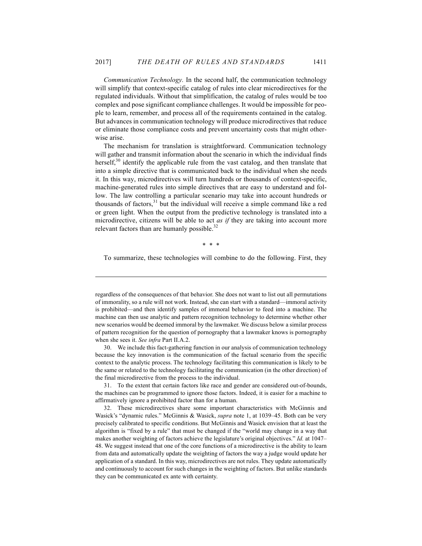*Communication Technology.* In the second half, the communication technology will simplify that context-specific catalog of rules into clear microdirectives for the regulated individuals. Without that simplification, the catalog of rules would be too complex and pose significant compliance challenges. It would be impossible for people to learn, remember, and process all of the requirements contained in the catalog. But advances in communication technology will produce microdirectives that reduce or eliminate those compliance costs and prevent uncertainty costs that might otherwise arise.

The mechanism for translation is straightforward. Communication technology will gather and transmit information about the scenario in which the individual finds herself, $30$  identify the applicable rule from the vast catalog, and then translate that into a simple directive that is communicated back to the individual when she needs it. In this way, microdirectives will turn hundreds or thousands of context-specific, machine-generated rules into simple directives that are easy to understand and follow. The law controlling a particular scenario may take into account hundreds or thousands of factors, <sup>31</sup> but the individual will receive a simple command like a red or green light. When the output from the predictive technology is translated into a microdirective, citizens will be able to act *as if* they are taking into account more relevant factors than are humanly possible.<sup>32</sup>

\* \* \*

 $\overline{a}$ 

To summarize, these technologies will combine to do the following. First, they

30. We include this fact-gathering function in our analysis of communication technology because the key innovation is the communication of the factual scenario from the specific context to the analytic process. The technology facilitating this communication is likely to be the same or related to the technology facilitating the communication (in the other direction) of the final microdirective from the process to the individual.

31. To the extent that certain factors like race and gender are considered out-of-bounds, the machines can be programmed to ignore those factors. Indeed, it is easier for a machine to affirmatively ignore a prohibited factor than for a human.

32. These microdirectives share some important characteristics with McGinnis and Wasick's "dynamic rules." McGinnis & Wasick, *supra* note 1, at 1039–45. Both can be very precisely calibrated to specific conditions. But McGinnis and Wasick envision that at least the algorithm is "fixed by a rule" that must be changed if the "world may change in a way that makes another weighting of factors achieve the legislature's original objectives." *Id.* at 1047– 48. We suggest instead that one of the core functions of a microdirective is the ability to learn from data and automatically update the weighting of factors the way a judge would update her application of a standard. In this way, microdirectives are not rules. They update automatically and continuously to account for such changes in the weighting of factors. But unlike standards they can be communicated ex ante with certainty.

regardless of the consequences of that behavior. She does not want to list out all permutations of immorality, so a rule will not work. Instead, she can start with a standard—immoral activity is prohibited—and then identify samples of immoral behavior to feed into a machine. The machine can then use analytic and pattern recognition technology to determine whether other new scenarios would be deemed immoral by the lawmaker. We discuss below a similar process of pattern recognition for the question of pornography that a lawmaker knows is pornography when she sees it. *See infra* Part II.A.2.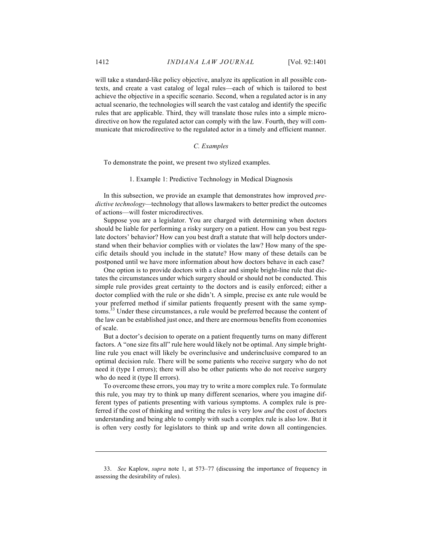will take a standard-like policy objective, analyze its application in all possible contexts, and create a vast catalog of legal rules—each of which is tailored to best achieve the objective in a specific scenario. Second, when a regulated actor is in any actual scenario, the technologies will search the vast catalog and identify the specific rules that are applicable. Third, they will translate those rules into a simple microdirective on how the regulated actor can comply with the law. Fourth, they will communicate that microdirective to the regulated actor in a timely and efficient manner.

#### *C. Examples*

To demonstrate the point, we present two stylized examples.

1. Example 1: Predictive Technology in Medical Diagnosis

In this subsection, we provide an example that demonstrates how improved *predictive technology—*technology that allows lawmakers to better predict the outcomes of actions—will foster microdirectives.

Suppose you are a legislator. You are charged with determining when doctors should be liable for performing a risky surgery on a patient. How can you best regulate doctors' behavior? How can you best draft a statute that will help doctors understand when their behavior complies with or violates the law? How many of the specific details should you include in the statute? How many of these details can be postponed until we have more information about how doctors behave in each case?

One option is to provide doctors with a clear and simple bright-line rule that dictates the circumstances under which surgery should or should not be conducted. This simple rule provides great certainty to the doctors and is easily enforced; either a doctor complied with the rule or she didn't. A simple, precise ex ante rule would be your preferred method if similar patients frequently present with the same symptoms.<sup>33</sup> Under these circumstances, a rule would be preferred because the content of the law can be established just once, and there are enormous benefits from economies of scale.

But a doctor's decision to operate on a patient frequently turns on many different factors. A "one size fits all" rule here would likely not be optimal. Any simple brightline rule you enact will likely be overinclusive and underinclusive compared to an optimal decision rule. There will be some patients who receive surgery who do not need it (type I errors); there will also be other patients who do not receive surgery who do need it (type II errors).

To overcome these errors, you may try to write a more complex rule. To formulate this rule, you may try to think up many different scenarios, where you imagine different types of patients presenting with various symptoms. A complex rule is preferred if the cost of thinking and writing the rules is very low *and* the cost of doctors understanding and being able to comply with such a complex rule is also low. But it is often very costly for legislators to think up and write down all contingencies.

<sup>33.</sup> *See* Kaplow, *supra* note 1, at 573–77 (discussing the importance of frequency in assessing the desirability of rules).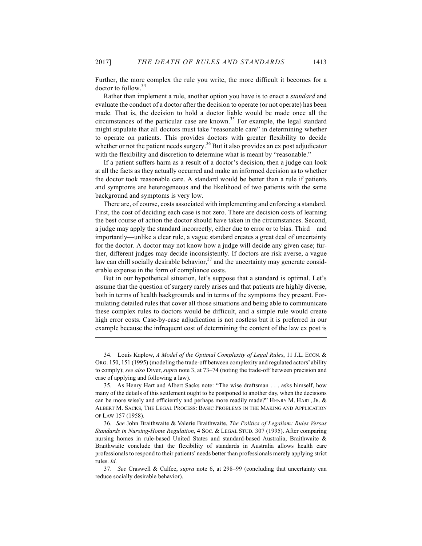Further, the more complex the rule you write, the more difficult it becomes for a doctor to follow.<sup>34</sup>

Rather than implement a rule, another option you have is to enact a *standard* and evaluate the conduct of a doctor after the decision to operate (or not operate) has been made. That is, the decision to hold a doctor liable would be made once all the circumstances of the particular case are known.<sup>35</sup> For example, the legal standard might stipulate that all doctors must take "reasonable care" in determining whether to operate on patients. This provides doctors with greater flexibility to decide whether or not the patient needs surgery.<sup>36</sup> But it also provides an ex post adjudicator with the flexibility and discretion to determine what is meant by "reasonable."

If a patient suffers harm as a result of a doctor's decision, then a judge can look at all the facts as they actually occurred and make an informed decision as to whether the doctor took reasonable care. A standard would be better than a rule if patients and symptoms are heterogeneous and the likelihood of two patients with the same background and symptoms is very low.

There are, of course, costs associated with implementing and enforcing a standard. First, the cost of deciding each case is not zero. There are decision costs of learning the best course of action the doctor should have taken in the circumstances. Second, a judge may apply the standard incorrectly, either due to error or to bias. Third—and importantly—unlike a clear rule, a vague standard creates a great deal of uncertainty for the doctor. A doctor may not know how a judge will decide any given case; further, different judges may decide inconsistently. If doctors are risk averse, a vague law can chill socially desirable behavior, $37$  and the uncertainty may generate considerable expense in the form of compliance costs.

But in our hypothetical situation, let's suppose that a standard is optimal. Let's assume that the question of surgery rarely arises and that patients are highly diverse, both in terms of health backgrounds and in terms of the symptoms they present. Formulating detailed rules that cover all those situations and being able to communicate these complex rules to doctors would be difficult, and a simple rule would create high error costs. Case-by-case adjudication is not costless but it is preferred in our example because the infrequent cost of determining the content of the law ex post is

<sup>34.</sup> Louis Kaplow, *A Model of the Optimal Complexity of Legal Rules*, 11 J.L. ECON. & ORG. 150, 151 (1995) (modeling the trade-off between complexity and regulated actors' ability to comply); *see also* Diver, *supra* note 3, at 73–74 (noting the trade-off between precision and ease of applying and following a law).

<sup>35.</sup> As Henry Hart and Albert Sacks note: "The wise draftsman . . . asks himself, how many of the details of this settlement ought to be postponed to another day, when the decisions can be more wisely and efficiently and perhaps more readily made?" HENRY M. HART, JR. & ALBERT M. SACKS, THE LEGAL PROCESS: BASIC PROBLEMS IN THE MAKING AND APPLICATION OF LAW 157 (1958).

<sup>36.</sup> *See* John Braithwaite & Valerie Braithwaite, *The Politics of Legalism: Rules Versus Standards in Nursing-Home Regulation*, 4 SOC. & LEGAL STUD. 307 (1995). After comparing nursing homes in rule-based United States and standard-based Australia, Braithwaite & Braithwaite conclude that the flexibility of standards in Australia allows health care professionals to respond to their patients' needs better than professionals merely applying strict rules. *Id.*

<sup>37.</sup> *See* Craswell & Calfee, *supra* note 6, at 298–99 (concluding that uncertainty can reduce socially desirable behavior).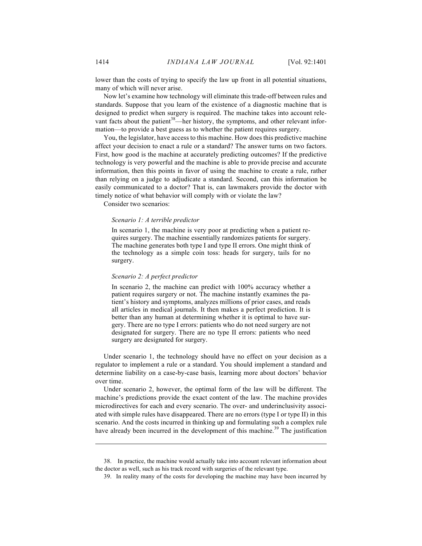lower than the costs of trying to specify the law up front in all potential situations, many of which will never arise.

Now let's examine how technology will eliminate this trade-off between rules and standards. Suppose that you learn of the existence of a diagnostic machine that is designed to predict when surgery is required. The machine takes into account relevant facts about the patient<sup>38</sup>—her history, the symptoms, and other relevant information—to provide a best guess as to whether the patient requires surgery.

You, the legislator, have access to this machine. How does this predictive machine affect your decision to enact a rule or a standard? The answer turns on two factors. First, how good is the machine at accurately predicting outcomes? If the predictive technology is very powerful and the machine is able to provide precise and accurate information, then this points in favor of using the machine to create a rule, rather than relying on a judge to adjudicate a standard. Second, can this information be easily communicated to a doctor? That is, can lawmakers provide the doctor with timely notice of what behavior will comply with or violate the law?

Consider two scenarios:

#### *Scenario 1: A terrible predictor*

In scenario 1, the machine is very poor at predicting when a patient requires surgery. The machine essentially randomizes patients for surgery. The machine generates both type I and type II errors. One might think of the technology as a simple coin toss: heads for surgery, tails for no surgery.

#### *Scenario 2: A perfect predictor*

In scenario 2, the machine can predict with 100% accuracy whether a patient requires surgery or not. The machine instantly examines the patient's history and symptoms, analyzes millions of prior cases, and reads all articles in medical journals. It then makes a perfect prediction. It is better than any human at determining whether it is optimal to have surgery. There are no type I errors: patients who do not need surgery are not designated for surgery. There are no type II errors: patients who need surgery are designated for surgery.

Under scenario 1, the technology should have no effect on your decision as a regulator to implement a rule or a standard. You should implement a standard and determine liability on a case-by-case basis, learning more about doctors' behavior over time.

Under scenario 2, however, the optimal form of the law will be different. The machine's predictions provide the exact content of the law. The machine provides microdirectives for each and every scenario. The over- and underinclusivity associated with simple rules have disappeared. There are no errors (type I or type II) in this scenario. And the costs incurred in thinking up and formulating such a complex rule have already been incurred in the development of this machine.<sup>39</sup> The justification

<sup>38.</sup> In practice, the machine would actually take into account relevant information about the doctor as well, such as his track record with surgeries of the relevant type.

<sup>39.</sup> In reality many of the costs for developing the machine may have been incurred by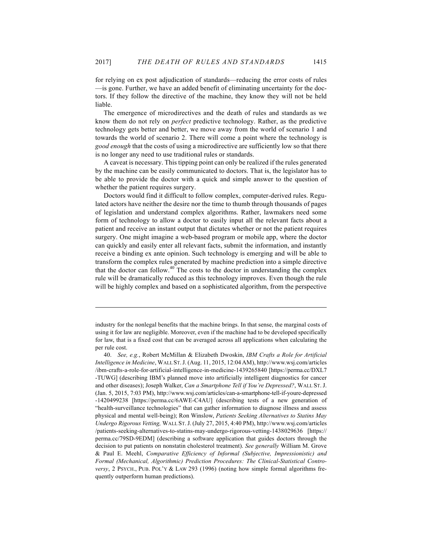for relying on ex post adjudication of standards—reducing the error costs of rules —is gone. Further, we have an added benefit of eliminating uncertainty for the doctors. If they follow the directive of the machine, they know they will not be held liable.

The emergence of microdirectives and the death of rules and standards as we know them do not rely on *perfect* predictive technology. Rather, as the predictive technology gets better and better, we move away from the world of scenario 1 and towards the world of scenario 2. There will come a point where the technology is *good enough* that the costs of using a microdirective are sufficiently low so that there is no longer any need to use traditional rules or standards.

A caveat is necessary. This tipping point can only be realized if the rules generated by the machine can be easily communicated to doctors. That is, the legislator has to be able to provide the doctor with a quick and simple answer to the question of whether the patient requires surgery.

Doctors would find it difficult to follow complex, computer-derived rules. Regulated actors have neither the desire nor the time to thumb through thousands of pages of legislation and understand complex algorithms. Rather, lawmakers need some form of technology to allow a doctor to easily input all the relevant facts about a patient and receive an instant output that dictates whether or not the patient requires surgery. One might imagine a web-based program or mobile app, where the doctor can quickly and easily enter all relevant facts, submit the information, and instantly receive a binding ex ante opinion. Such technology is emerging and will be able to transform the complex rules generated by machine prediction into a simple directive that the doctor can follow. $40$  The costs to the doctor in understanding the complex rule will be dramatically reduced as this technology improves. Even though the rule will be highly complex and based on a sophisticated algorithm, from the perspective

industry for the nonlegal benefits that the machine brings. In that sense, the marginal costs of using it for law are negligible. Moreover, even if the machine had to be developed specifically for law, that is a fixed cost that can be averaged across all applications when calculating the per rule cost.

<sup>40.</sup> *See, e.g.*, Robert McMillan & Elizabeth Dwoskin, *IBM Crafts a Role for Artificial Intelligence in Medicine*, WALL ST.J. (Aug. 11, 2015, 12:04 AM), http://www.wsj.com/articles /ibm-crafts-a-role-for-artificial-intelligence-in-medicine-1439265840 [https://perma.cc/DXL7 -TUWG] (describing IBM's planned move into artificially intelligent diagnostics for cancer and other diseases); Joseph Walker, *Can a Smartphone Tell if You're Depressed?*, WALL ST.J. (Jan. 5, 2015, 7:03 PM), http://www.wsj.com/articles/can-a-smartphone-tell-if-youre-depressed -1420499238 [https://perma.cc/6AWE-C4AU] (describing tests of a new generation of "health-surveillance technologies" that can gather information to diagnose illness and assess physical and mental well-being); Ron Winslow, *Patients Seeking Alternatives to Statins May Undergo Rigorous Vetting,* WALL ST.J. (July 27, 2015, 4:40 PM), http://www.wsj.com/articles /patients-seeking-alternatives-to-statins-may-undergo-rigorous-vetting-1438029636 [https:// perma.cc/79SD-9EDM] (describing a software application that guides doctors through the decision to put patients on nonstatin cholesterol treatment). *See generally* William M. Grove & Paul E. Meehl, *Comparative Efficiency of Informal (Subjective, Impressionistic) and Formal (Mechanical, Algorithmic) Prediction Procedures: The Clinical-Statistical Controversy*, 2 PSYCH., PUB. POL'Y & LAW 293 (1996) (noting how simple formal algorithms frequently outperform human predictions).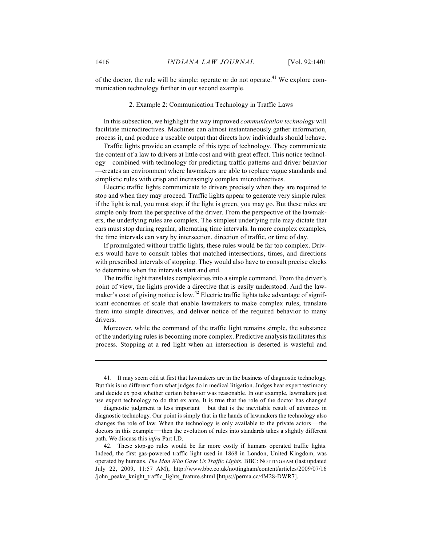of the doctor, the rule will be simple: operate or do not operate.<sup>41</sup> We explore communication technology further in our second example.

#### 2. Example 2: Communication Technology in Traffic Laws

In this subsection, we highlight the way improved *communication technology* will facilitate microdirectives. Machines can almost instantaneously gather information, process it, and produce a useable output that directs how individuals should behave.

Traffic lights provide an example of this type of technology. They communicate the content of a law to drivers at little cost and with great effect. This notice technology—combined with technology for predicting traffic patterns and driver behavior —creates an environment where lawmakers are able to replace vague standards and simplistic rules with crisp and increasingly complex microdirectives.

Electric traffic lights communicate to drivers precisely when they are required to stop and when they may proceed. Traffic lights appear to generate very simple rules: if the light is red, you must stop; if the light is green, you may go. But these rules are simple only from the perspective of the driver. From the perspective of the lawmakers, the underlying rules are complex. The simplest underlying rule may dictate that cars must stop during regular, alternating time intervals. In more complex examples, the time intervals can vary by intersection, direction of traffic, or time of day.

If promulgated without traffic lights, these rules would be far too complex. Drivers would have to consult tables that matched intersections, times, and directions with prescribed intervals of stopping. They would also have to consult precise clocks to determine when the intervals start and end.

The traffic light translates complexities into a simple command. From the driver's point of view, the lights provide a directive that is easily understood. And the lawmaker's cost of giving notice is low.<sup>42</sup> Electric traffic lights take advantage of significant economies of scale that enable lawmakers to make complex rules, translate them into simple directives, and deliver notice of the required behavior to many drivers.

Moreover, while the command of the traffic light remains simple, the substance of the underlying rules is becoming more complex. Predictive analysis facilitates this process. Stopping at a red light when an intersection is deserted is wasteful and

<sup>41.</sup> It may seem odd at first that lawmakers are in the business of diagnostic technology. But this is no different from what judges do in medical litigation. Judges hear expert testimony and decide ex post whether certain behavior was reasonable. In our example, lawmakers just use expert technology to do that ex ante. It is true that the role of the doctor has changed —diagnostic judgment is less important—but that is the inevitable result of advances in diagnostic technology. Our point is simply that in the hands of lawmakers the technology also changes the role of law. When the technology is only available to the private actors—the doctors in this example—then the evolution of rules into standards takes a slightly different path. We discuss this *infra* Part I.D.

<sup>42.</sup> These stop-go rules would be far more costly if humans operated traffic lights. Indeed, the first gas-powered traffic light used in 1868 in London, United Kingdom, was operated by humans. *The Man Who Gave Us Traffic Lights*, BBC: NOTTINGHAM (last updated July 22, 2009, 11:57 AM), http://www.bbc.co.uk/nottingham/content/articles/2009/07/16 /john\_peake\_knight\_traffic\_lights\_feature.shtml [https://perma.cc/4M28-DWR7].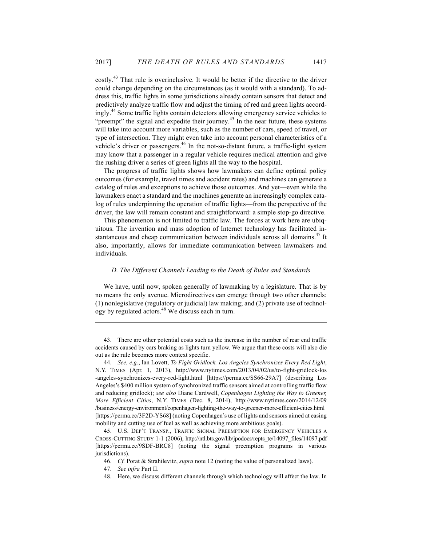costly.<sup>43</sup> That rule is overinclusive. It would be better if the directive to the driver could change depending on the circumstances (as it would with a standard). To address this, traffic lights in some jurisdictions already contain sensors that detect and predictively analyze traffic flow and adjust the timing of red and green lights accordingly.<sup>44</sup> Some traffic lights contain detectors allowing emergency service vehicles to "preempt" the signal and expedite their journey.<sup>45</sup> In the near future, these systems will take into account more variables, such as the number of cars, speed of travel, or type of intersection. They might even take into account personal characteristics of a vehicle's driver or passengers. $46$  In the not-so-distant future, a traffic-light system may know that a passenger in a regular vehicle requires medical attention and give the rushing driver a series of green lights all the way to the hospital.

The progress of traffic lights shows how lawmakers can define optimal policy outcomes (for example, travel times and accident rates) and machines can generate a catalog of rules and exceptions to achieve those outcomes. And yet—even while the lawmakers enact a standard and the machines generate an increasingly complex catalog of rules underpinning the operation of traffic lights—from the perspective of the driver, the law will remain constant and straightforward: a simple stop-go directive.

This phenomenon is not limited to traffic law. The forces at work here are ubiquitous. The invention and mass adoption of Internet technology has facilitated instantaneous and cheap communication between individuals across all domains.<sup>47</sup> It also, importantly, allows for immediate communication between lawmakers and individuals.

#### *D. The Different Channels Leading to the Death of Rules and Standards*

We have, until now, spoken generally of lawmaking by a legislature. That is by no means the only avenue. Microdirectives can emerge through two other channels: (1) nonlegislative (regulatory or judicial) law making; and (2) private use of technology by regulated actors.<sup>48</sup> We discuss each in turn.

43. There are other potential costs such as the increase in the number of rear end traffic accidents caused by cars braking as lights turn yellow. We argue that these costs will also die out as the rule becomes more context specific.

44. *See, e.g.*, Ian Lovett, *To Fight Gridlock, Los Angeles Synchronizes Every Red Light*, N.Y. TIMES (Apr. 1, 2013), http://www.nytimes.com/2013/04/02/us/to-fight-gridlock-los -angeles-synchronizes-every-red-light.html [https://perma.cc/SS66-29A7] (describing Los Angeles's \$400 million system of synchronized traffic sensors aimed at controlling traffic flow and reducing gridlock); *see also* Diane Cardwell, *Copenhagen Lighting the Way to Greener, More Efficient Cities*, N.Y. TIMES (Dec. 8, 2014), http://www.nytimes.com/2014/12/09 /business/energy-environment/copenhagen-lighting-the-way-to-greener-more-efficient-cities.html [https://perma.cc/3F2D-YS68] (noting Copenhagen's use of lights and sensors aimed at easing mobility and cutting use of fuel as well as achieving more ambitious goals).

45. U.S. DEP'T TRANSP., TRAFFIC SIGNAL PREEMPTION FOR EMERGENCY VEHICLES A CROSS-CUTTING STUDY 1-1 (2006), http://ntl.bts.gov/lib/jpodocs/repts\_te/14097\_files/14097.pdf [https://perma.cc/9SDF-BRC8] (noting the signal preemption programs in various jurisdictions).

46. *Cf.* Porat & Strahilevitz, *supra* note 12 (noting the value of personalized laws).

 $\overline{a}$ 

48. Here, we discuss different channels through which technology will affect the law. In

<sup>47.</sup> *See infra* Part II.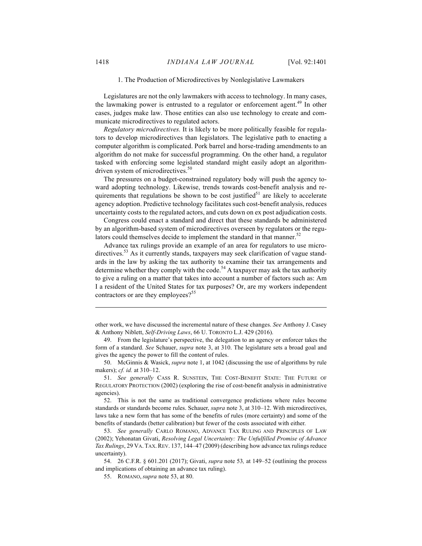#### 1. The Production of Microdirectives by Nonlegislative Lawmakers

Legislatures are not the only lawmakers with access to technology. In many cases, the lawmaking power is entrusted to a regulator or enforcement agent.<sup>49</sup> In other cases, judges make law. Those entities can also use technology to create and communicate microdirectives to regulated actors.

*Regulatory microdirectives.* It is likely to be more politically feasible for regulators to develop microdirectives than legislators. The legislative path to enacting a computer algorithm is complicated. Pork barrel and horse-trading amendments to an algorithm do not make for successful programming. On the other hand, a regulator tasked with enforcing some legislated standard might easily adopt an algorithmdriven system of microdirectives.<sup>50</sup>

The pressures on a budget-constrained regulatory body will push the agency toward adopting technology. Likewise, trends towards cost-benefit analysis and requirements that regulations be shown to be cost justified $5<sup>1</sup>$  are likely to accelerate agency adoption. Predictive technology facilitates such cost-benefit analysis, reduces uncertainty costs to the regulated actors, and cuts down on ex post adjudication costs.

Congress could enact a standard and direct that these standards be administered by an algorithm-based system of microdirectives overseen by regulators or the regulators could themselves decide to implement the standard in that manner. $52$ 

Advance tax rulings provide an example of an area for regulators to use microdirectives.<sup>53</sup> As it currently stands, taxpayers may seek clarification of vague standards in the law by asking the tax authority to examine their tax arrangements and determine whether they comply with the code.<sup>54</sup> A taxpayer may ask the tax authority to give a ruling on a matter that takes into account a number of factors such as: Am I a resident of the United States for tax purposes? Or, are my workers independent contractors or are they employees?<sup>55</sup>

other work, we have discussed the incremental nature of these changes. *See* Anthony J. Casey & Anthony Niblett, *Self-Driving Laws*, 66 U. TORONTO L.J. 429 (2016).

<sup>49.</sup> From the legislature's perspective, the delegation to an agency or enforcer takes the form of a standard. *See* Schauer, *supra* note 3, at 310. The legislature sets a broad goal and gives the agency the power to fill the content of rules.

<sup>50.</sup> McGinnis & Wasick, *supra* note 1, at 1042 (discussing the use of algorithms by rule makers); *cf. id.* at 310–12.

<sup>51.</sup> *See generally* CASS R. SUNSTEIN, THE COST-BENEFIT STATE: THE FUTURE OF REGULATORY PROTECTION (2002) (exploring the rise of cost-benefit analysis in administrative agencies).

<sup>52.</sup> This is not the same as traditional convergence predictions where rules become standards or standards become rules. Schauer, *supra* note 3, at 310–12. With microdirectives, laws take a new form that has some of the benefits of rules (more certainty) and some of the benefits of standards (better calibration) but fewer of the costs associated with either.

<sup>53.</sup> *See generally* CARLO ROMANO, ADVANCE TAX RULING AND PRINCIPLES OF LAW (2002); Yehonatan Givati, *Resolving Legal Uncertainty: The Unfulfilled Promise of Advance Tax Rulings*, 29 VA. TAX.REV. 137, 144–47 (2009) (describing how advance tax rulings reduce uncertainty).

<sup>54.</sup> 26 C.F.R. § 601.201 (2017); Givati, *supra* note 53*,* at 149–52 (outlining the process and implications of obtaining an advance tax ruling).

<sup>55.</sup> ROMANO, *supra* note 53, at 80.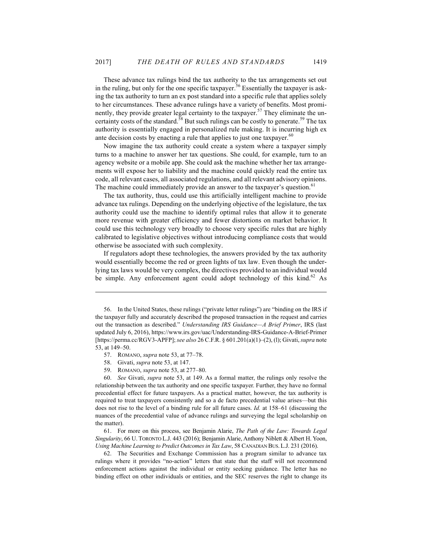These advance tax rulings bind the tax authority to the tax arrangements set out in the ruling, but only for the one specific taxpayer.<sup>56</sup> Essentially the taxpayer is asking the tax authority to turn an ex post standard into a specific rule that applies solely to her circumstances. These advance rulings have a variety of benefits. Most prominently, they provide greater legal certainty to the taxpayer.<sup>57</sup> They eliminate the uncertainty costs of the standard.<sup>58</sup> But such rulings can be costly to generate.<sup>59</sup> The tax authority is essentially engaged in personalized rule making. It is incurring high ex ante decision costs by enacting a rule that applies to just one taxpayer.<sup>60</sup>

Now imagine the tax authority could create a system where a taxpayer simply turns to a machine to answer her tax questions. She could, for example, turn to an agency website or a mobile app. She could ask the machine whether her tax arrangements will expose her to liability and the machine could quickly read the entire tax code, all relevant cases, all associated regulations, and all relevant advisory opinions. The machine could immediately provide an answer to the taxpayer's question.<sup>61</sup>

The tax authority, thus, could use this artificially intelligent machine to provide advance tax rulings. Depending on the underlying objective of the legislature, the tax authority could use the machine to identify optimal rules that allow it to generate more revenue with greater efficiency and fewer distortions on market behavior. It could use this technology very broadly to choose very specific rules that are highly calibrated to legislative objectives without introducing compliance costs that would otherwise be associated with such complexity.

If regulators adopt these technologies, the answers provided by the tax authority would essentially become the red or green lights of tax law. Even though the underlying tax laws would be very complex, the directives provided to an individual would be simple. Any enforcement agent could adopt technology of this kind.<sup>62</sup> As

 $\overline{a}$ 

59. ROMANO, *supra* note 53, at 277–80.

60. *See* Givati, *supra* note 53, at 149. As a formal matter, the rulings only resolve the relationship between the tax authority and one specific taxpayer. Further, they have no formal precedential effect for future taxpayers. As a practical matter, however, the tax authority is required to treat taxpayers consistently and so a de facto precedential value arises—but this does not rise to the level of a binding rule for all future cases. *Id.* at 158–61 (discussing the nuances of the precedential value of advance rulings and surveying the legal scholarship on the matter).

61. For more on this process, see Benjamin Alarie, *The Path of the Law: Towards Legal Singularity*, 66 U. TORONTO L.J. 443 (2016); Benjamin Alarie, Anthony Niblett & Albert H. Yoon, *Using Machine Learning to Predict Outcomes in Tax Law*, 58 CANADIAN BUS. L.J. 231 (2016).

62. The Securities and Exchange Commission has a program similar to advance tax rulings where it provides "no-action" letters that state that the staff will not recommend enforcement actions against the individual or entity seeking guidance. The letter has no binding effect on other individuals or entities, and the SEC reserves the right to change its

<sup>56.</sup> In the United States, these rulings ("private letter rulings") are "binding on the IRS if the taxpayer fully and accurately described the proposed transaction in the request and carries out the transaction as described." *Understanding IRS Guidance—A Brief Primer*, IRS (last updated July 6, 2016), https://www.irs.gov/uac/Understanding-IRS-Guidance-A-Brief-Primer [https://perma.cc/RGV3-APFP]; *see also* 26 C.F.R. § 601.201(a)(1)–(2), (l); Givati, *supra* note 53, at 149–50.

<sup>57.</sup> ROMANO, *supra* note 53, at 77–78.

<sup>58.</sup> Givati, *supra* note 53, at 147.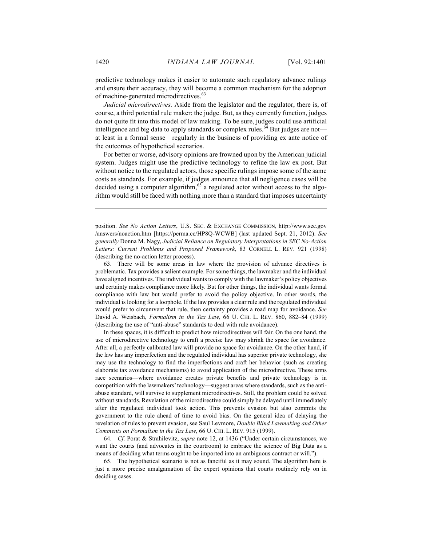predictive technology makes it easier to automate such regulatory advance rulings and ensure their accuracy, they will become a common mechanism for the adoption of machine-generated microdirectives.<sup>63</sup>

*Judicial microdirectives.* Aside from the legislator and the regulator, there is, of course, a third potential rule maker: the judge. But, as they currently function, judges do not quite fit into this model of law making. To be sure, judges could use artificial intelligence and big data to apply standards or complex rules.<sup>64</sup> But judges are not at least in a formal sense—regularly in the business of providing ex ante notice of the outcomes of hypothetical scenarios.

For better or worse, advisory opinions are frowned upon by the American judicial system. Judges might use the predictive technology to refine the law ex post. But without notice to the regulated actors, those specific rulings impose some of the same costs as standards. For example, if judges announce that all negligence cases will be decided using a computer algorithm, $65$  a regulated actor without access to the algorithm would still be faced with nothing more than a standard that imposes uncertainty

position. *See No Action Letters*, U.S. SEC. & EXCHANGE COMMISSION, http://www.sec.gov /answers/noaction.htm [https://perma.cc/HP8Q-WCWB] (last updated Sept. 21, 2012). *See generally* Donna M. Nagy, *Judicial Reliance on Regulatory Interpretations in SEC No-Action Letters: Current Problems and Proposed Framework*, 83 CORNELL L. REV. 921 (1998) (describing the no-action letter process).

63. There will be some areas in law where the provision of advance directives is problematic. Tax provides a salient example. For some things, the lawmaker and the individual have aligned incentives. The individual wants to comply with the lawmaker's policy objectives and certainty makes compliance more likely. But for other things, the individual wants formal compliance with law but would prefer to avoid the policy objective. In other words, the individual is looking for a loophole. If the law provides a clear rule and the regulated individual would prefer to circumvent that rule, then certainty provides a road map for avoidance. *See*  David A. Weisbach, *Formalism in the Tax Law*, 66 U. CHI. L. REV. 860, 882–84 (1999) (describing the use of "anti-abuse" standards to deal with rule avoidance).

In these spaces, it is difficult to predict how microdirectives will fair. On the one hand, the use of microdirective technology to craft a precise law may shrink the space for avoidance. After all, a perfectly calibrated law will provide no space for avoidance. On the other hand, if the law has any imperfection and the regulated individual has superior private technology, she may use the technology to find the imperfections and craft her behavior (such as creating elaborate tax avoidance mechanisms) to avoid application of the microdirective. These arms race scenarios—where avoidance creates private benefits and private technology is in competition with the lawmakers' technology—suggest areas where standards, such as the antiabuse standard, will survive to supplement microdirectives. Still, the problem could be solved without standards. Revelation of the microdirective could simply be delayed until immediately after the regulated individual took action. This prevents evasion but also commits the government to the rule ahead of time to avoid bias. On the general idea of delaying the revelation of rules to prevent evasion, see Saul Levmore, *Double Blind Lawmaking and Other Comments on Formalism in the Tax Law*, 66 U. CHI. L. REV. 915 (1999).

64. *Cf*. Porat & Strahilevitz, *supra* note 12, at 1436 ("Under certain circumstances, we want the courts (and advocates in the courtroom) to embrace the science of Big Data as a means of deciding what terms ought to be imported into an ambiguous contract or will.").

65. The hypothetical scenario is not as fanciful as it may sound. The algorithm here is just a more precise amalgamation of the expert opinions that courts routinely rely on in deciding cases.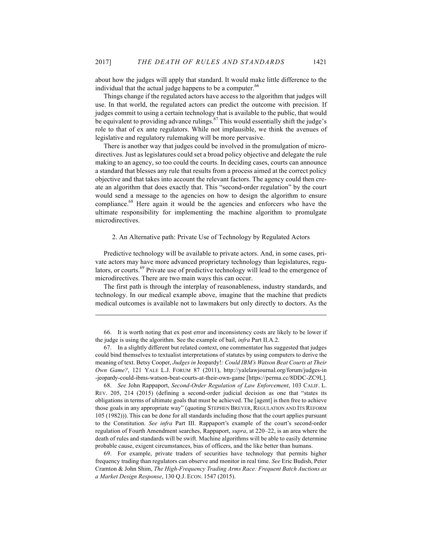about how the judges will apply that standard. It would make little difference to the individual that the actual judge happens to be a computer.<sup>66</sup>

Things change if the regulated actors have access to the algorithm that judges will use. In that world, the regulated actors can predict the outcome with precision. If judges commit to using a certain technology that is available to the public, that would be equivalent to providing advance rulings. $67$  This would essentially shift the judge's role to that of ex ante regulators. While not implausible, we think the avenues of legislative and regulatory rulemaking will be more pervasive.

There is another way that judges could be involved in the promulgation of microdirectives. Just as legislatures could set a broad policy objective and delegate the rule making to an agency, so too could the courts. In deciding cases, courts can announce a standard that blesses any rule that results from a process aimed at the correct policy objective and that takes into account the relevant factors. The agency could then create an algorithm that does exactly that. This "second-order regulation" by the court would send a message to the agencies on how to design the algorithm to ensure compliance.<sup>68</sup> Here again it would be the agencies and enforcers who have the ultimate responsibility for implementing the machine algorithm to promulgate microdirectives.

#### 2. An Alternative path: Private Use of Technology by Regulated Actors

Predictive technology will be available to private actors. And, in some cases, private actors may have more advanced proprietary technology than legislatures, regulators, or courts.<sup>69</sup> Private use of predictive technology will lead to the emergence of microdirectives. There are two main ways this can occur.

The first path is through the interplay of reasonableness, industry standards, and technology. In our medical example above, imagine that the machine that predicts medical outcomes is available not to lawmakers but only directly to doctors. As the

 $\overline{a}$ 

66. It is worth noting that ex post error and inconsistency costs are likely to be lower if the judge is using the algorithm. See the example of bail, *infra* Part II.A.2.

67. In a slightly different but related context, one commentator has suggested that judges could bind themselves to textualist interpretations of statutes by using computers to derive the meaning of text. Betsy Cooper, *Judges in* Jeopardy!*: Could IBM's Watson Beat Courts at Their Own Game?*, 121 YALE L.J. FORUM 87 (2011), http://yalelawjournal.org/forum/judges-in -jeopardy-could-ibms-watson-beat-courts-at-their-own-game [https://perma.cc/8DDC-ZC9L].

68. *See* John Rappaport, *Second-Order Regulation of Law Enforcement*, 103 CALIF. L. REV. 205, 214 (2015) (defining a second-order judicial decision as one that "states its obligations in terms of ultimate goals that must be achieved. The [agent] is then free to achieve those goals in any appropriate way" (quoting STEPHEN BREYER, REGULATION AND ITS REFORM 105 (1982))). This can be done for all standards including those that the court applies pursuant to the Constitution. *See infra* Part III. Rappaport's example of the court's second-order regulation of Fourth Amendment searches, Rappaport, *supra*, at 220–22, is an area where the death of rules and standards will be swift. Machine algorithms will be able to easily determine probable cause, exigent circumstances, bias of officers, and the like better than humans.

69. For example, private traders of securities have technology that permits higher frequency trading than regulators can observe and monitor in real time. *See* Eric Budish, Peter Cramton & John Shim, *The High-Frequency Trading Arms Race: Frequent Batch Auctions as a Market Design Response*, 130 Q.J. ECON. 1547 (2015).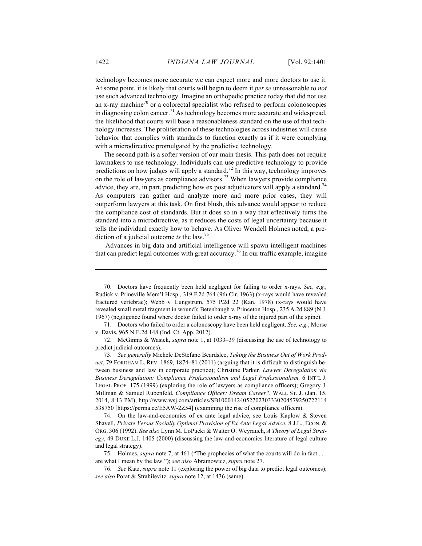technology becomes more accurate we can expect more and more doctors to use it. At some point, it is likely that courts will begin to deem it *per se* unreasonable to *not*  use such advanced technology. Imagine an orthopedic practice today that did not use an x-ray machine<sup>70</sup> or a colorectal specialist who refused to perform colonoscopies in diagnosing colon cancer.<sup>71</sup> As technology becomes more accurate and widespread, the likelihood that courts will base a reasonableness standard on the use of that technology increases. The proliferation of these technologies across industries will cause behavior that complies with standards to function exactly as if it were complying with a microdirective promulgated by the predictive technology.

The second path is a softer version of our main thesis. This path does not require lawmakers to use technology. Individuals can use predictive technology to provide predictions on how judges will apply a standard.<sup>72</sup> In this way, technology improves on the role of lawyers as compliance advisors.<sup>73</sup> When lawyers provide compliance advice, they are, in part, predicting how ex post adjudicators will apply a standard.<sup> $4$ </sup> As computers can gather and analyze more and more prior cases, they will outperform lawyers at this task. On first blush, this advance would appear to reduce the compliance cost of standards. But it does so in a way that effectively turns the standard into a microdirective, as it reduces the costs of legal uncertainty because it tells the individual exactly how to behave. As Oliver Wendell Holmes noted, a prediction of a judicial outcome *is* the law.<sup>75</sup>

Advances in big data and artificial intelligence will spawn intelligent machines that can predict legal outcomes with great accuracy.<sup>76</sup> In our traffic example, imagine

71. Doctors who failed to order a colonoscopy have been held negligent. *See, e.g.*, Morse v. Davis, 965 N.E.2d 148 (Ind. Ct. App. 2012).

74. On the law-and-economics of ex ante legal advice, see Louis Kaplow & Steven Shavell, *Private Versus Socially Optimal Provision of Ex Ante Legal Advice*, 8 J.L., ECON. & ORG. 306 (1992). *See also* Lynn M. LoPucki & Walter O. Weyrauch, *A Theory of Legal Strategy*, 49 DUKE L.J. 1405 (2000) (discussing the law-and-economics literature of legal culture and legal strategy).

75. Holmes, *supra* note 7, at 461 ("The prophecies of what the courts will do in fact . . . are what I mean by the law."); *see also* Abramowicz, *supra* note 27.

76. *See* Katz, *supra* note 11 (exploring the power of big data to predict legal outcomes); *see also* Porat & Strahilevitz, *supra* note 12, at 1436 (same).

<sup>70.</sup> Doctors have frequently been held negligent for failing to order x-rays. *See, e.g.*, Rudick v. Prineville Mem'l Hosp., 319 F.2d 764 (9th Cir. 1963) (x-rays would have revealed fractured vertebrae); Webb v. Lungstrum, 575 P.2d 22 (Kan. 1978) (x-rays would have revealed small metal fragment in wound); Betenbaugh v. Princeton Hosp., 235 A.2d 889 (N.J. 1967) (negligence found where doctor failed to order x-ray of the injured part of the spine).

<sup>72.</sup> McGinnis & Wasick, *supra* note 1, at 1033–39 (discussing the use of technology to predict judicial outcomes).

<sup>73.</sup> *See generally* Michele DeStefano Beardslee, *Taking the Business Out of Work Product*, 79 FORDHAM L. REV. 1869, 1874–81 (2011) (arguing that it is difficult to distinguish between business and law in corporate practice); Christine Parker*, Lawyer Deregulation via Business Deregulation: Compliance Professionalism and Legal Professionalism,* 6 INT'L J. LEGAL PROF. 175 (1999) (exploring the role of lawyers as compliance officers); Gregory J. Millman & Samuel Rubenfeld, *Compliance Officer: Dream Career?*, WALL ST. J. (Jan. 15, 2014, 8:13 PM), http://www.wsj.com/articles/SB10001424052702303330204579250722114 538750 [https://perma.cc/E5AW-2Z54] (examining the rise of compliance officers).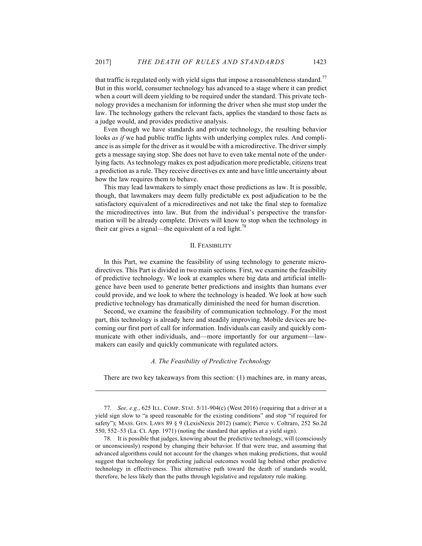that traffic is regulated only with yield signs that impose a reasonableness standard.<sup>77</sup> But in this world, consumer technology has advanced to a stage where it can predict when a court will deem yielding to be required under the standard. This private technology provides a mechanism for informing the driver when she must stop under the law. The technology gathers the relevant facts, applies the standard to those facts as a judge would, and provides predictive analysis.

Even though we have standards and private technology, the resulting behavior looks *as if* we had public traffic lights with underlying complex rules. And compliance is as simple for the driver as it would be with a microdirective. The driver simply gets a message saying stop. She does not have to even take mental note of the underlying facts. As technology makes ex post adjudication more predictable, citizens treat a prediction as a rule. They receive directives ex ante and have little uncertainty about how the law requires them to behave.

This may lead lawmakers to simply enact those predictions as law. It is possible, though, that lawmakers may deem fully predictable ex post adjudication to be the satisfactory equivalent of a microdirectives and not take the final step to formalize the microdirectives into law. But from the individual's perspective the transformation will be already complete. Drivers will know to stop when the technology in their car gives a signal—the equivalent of a red light.<sup>78</sup>

## II. FEASIBILITY

In this Part, we examine the feasibility of using technology to generate microdirectives. This Part is divided in two main sections. First, we examine the feasibility of predictive technology. We look at examples where big data and artificial intelligence have been used to generate better predictions and insights than humans ever could provide, and we look to where the technology is headed. We look at how such predictive technology has dramatically diminished the need for human discretion.

Second, we examine the feasibility of communication technology. For the most part, this technology is already here and steadily improving. Mobile devices are becoming our first port of call for information. Individuals can easily and quickly communicate with other individuals, and—more importantly for our argument—lawmakers can easily and quickly communicate with regulated actors.

## *A. The Feasibility of Predictive Technology*

 $\overline{a}$ 

There are two key takeaways from this section: (1) machines are, in many areas,

<sup>77</sup>*. See, e.g.*, 625 ILL. COMP. STAT. 5/11-904(c) (West 2016) (requiring that a driver at a yield sign slow to "a speed reasonable for the existing conditions" and stop "if required for safety"); MASS. GEN. LAWS 89 § 9 (LexisNexis 2012) (same); Pierce v. Coltraro, 252 So.2d 550, 552–53 (La. Ct. App. 1971) (noting the standard that applies at a yield sign).

<sup>78.</sup> It is possible that judges, knowing about the predictive technology, will (consciously or unconsciously) respond by changing their behavior. If that were true, and assuming that advanced algorithms could not account for the changes when making predictions, that would suggest that technology for predicting judicial outcomes would lag behind other predictive technology in effectiveness. This alternative path toward the death of standards would, therefore, be less likely than the paths through legislative and regulatory rule making.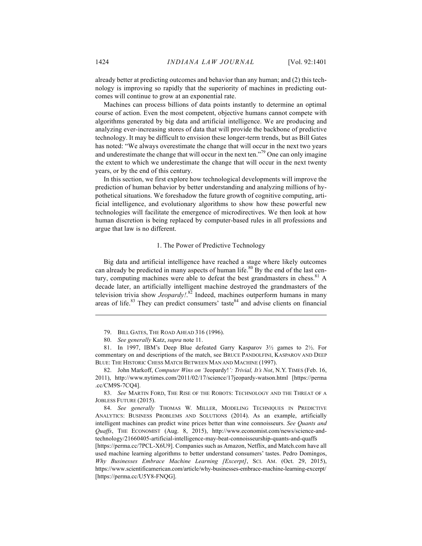already better at predicting outcomes and behavior than any human; and (2) this technology is improving so rapidly that the superiority of machines in predicting outcomes will continue to grow at an exponential rate.

Machines can process billions of data points instantly to determine an optimal course of action. Even the most competent, objective humans cannot compete with algorithms generated by big data and artificial intelligence. We are producing and analyzing ever-increasing stores of data that will provide the backbone of predictive technology. It may be difficult to envision these longer-term trends, but as Bill Gates has noted: "We always overestimate the change that will occur in the next two years and underestimate the change that will occur in the next ten."<sup>79</sup> One can only imagine the extent to which we underestimate the change that will occur in the next twenty years, or by the end of this century.

In this section, we first explore how technological developments will improve the prediction of human behavior by better understanding and analyzing millions of hypothetical situations. We foreshadow the future growth of cognitive computing, artificial intelligence, and evolutionary algorithms to show how these powerful new technologies will facilitate the emergence of microdirectives. We then look at how human discretion is being replaced by computer-based rules in all professions and argue that law is no different.

#### 1. The Power of Predictive Technology

Big data and artificial intelligence have reached a stage where likely outcomes can already be predicted in many aspects of human life.<sup>80</sup> By the end of the last century, computing machines were able to defeat the best grandmasters in chess.<sup>81</sup> A decade later, an artificially intelligent machine destroyed the grandmasters of the television trivia show *Jeopardy!*. <sup>82</sup> Indeed, machines outperform humans in many areas of life. $83$  They can predict consumers' taste  $84$  and advise clients on financial

83. *See* MARTIN FORD, THE RISE OF THE ROBOTS: TECHNOLOGY AND THE THREAT OF A JOBLESS FUTURE (2015).

84. *See generally* THOMAS W. MILLER, MODELING TECHNIQUES IN PREDICTIVE ANALYTICS: BUSINESS PROBLEMS AND SOLUTIONS (2014). As an example, artificially intelligent machines can predict wine prices better than wine connoisseurs. *See Quants and Quaffs*, THE ECONOMIST (Aug. 8, 2015), http://www.economist.com/news/science-andtechnology/21660405-artificial-intelligence-may-beat-connoisseurship-quants-and-quaffs [https://perma.cc/7PCL-X6U9]. Companies such as Amazon, Netflix, and Match.com have all used machine learning algorithms to better understand consumers' tastes. Pedro Domingos, *Why Businesses Embrace Machine Learning [Excerpt]*, SCI. AM. (Oct. 29, 2015), https://www.scientificamerican.com/article/why-businesses-embrace-machine-learning-excerpt/ [https://perma.cc/U5Y8-FNQG].

<sup>79.</sup> BILL GATES, THE ROAD AHEAD 316 (1996).

<sup>80.</sup> *See generally* Katz, *supra* note 11.

<sup>81.</sup> In 1997, IBM's Deep Blue defeated Garry Kasparov 3½ games to 2½. For commentary on and descriptions of the match, see BRUCE PANDOLFINI, KASPAROV AND DEEP BLUE: THE HISTORIC CHESS MATCH BETWEEN MAN AND MACHINE (1997).

<sup>82.</sup> John Markoff, *Computer Wins on '*Jeopardy!*': Trivial, It's Not*, N.Y. TIMES (Feb. 16, 2011), http://www.nytimes.com/2011/02/17/science/17jeopardy-watson.html [https://perma .cc/CM9S-7CQ4].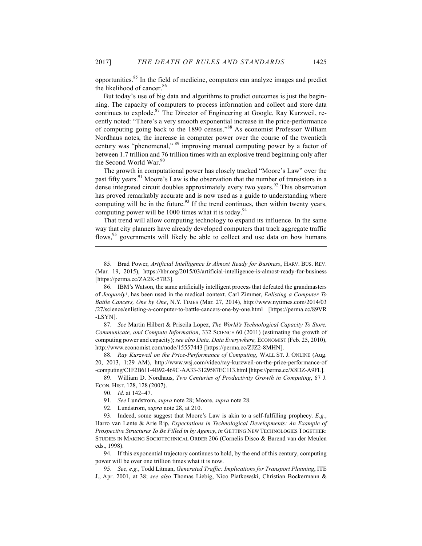opportunities.85 In the field of medicine, computers can analyze images and predict the likelihood of cancer.<sup>86</sup>

But today's use of big data and algorithms to predict outcomes is just the beginning. The capacity of computers to process information and collect and store data continues to explode.<sup>87</sup> The Director of Engineering at Google, Ray Kurzweil, recently noted: "There's a very smooth exponential increase in the price-performance of computing going back to the 1890 census."<sup>88</sup> As economist Professor William Nordhaus notes, the increase in computer power over the course of the twentieth century was "phenomenal," <sup>89</sup> improving manual computing power by a factor of between 1.7 trillion and 76 trillion times with an explosive trend beginning only after the Second World War.<sup>90</sup>

The growth in computational power has closely tracked "Moore's Law" over the past fifty years.<sup>91</sup> Moore's Law is the observation that the number of transistors in a dense integrated circuit doubles approximately every two years.<sup>92</sup> This observation has proved remarkably accurate and is now used as a guide to understanding where computing will be in the future. $93$  If the trend continues, then within twenty years, computing power will be 1000 times what it is today.<sup>94</sup>

That trend will allow computing technology to expand its influence. In the same way that city planners have already developed computers that track aggregate traffic flows,<sup>95</sup> governments will likely be able to collect and use data on how humans

87. *See* Martin Hilbert & Priscila Lopez, *The World's Technological Capacity To Store, Communicate, and Compute Information*, 332 SCIENCE 60 (2011) (estimating the growth of computing power and capacity); *see also Data, Data Everywhere,* ECONOMIST (Feb. 25, 2010), http://www.economist.com/node/15557443 [https://perma.cc/ZJZ2-8MHN].

88. *Ray Kurzweil on the Price-Performance of Computing*, WALL ST. J. ONLINE (Aug. 20, 2013, 1:29 AM), http://www.wsj.com/video/ray-kurzweil-on-the-price-performance-of -computing/C1F2B611-4B92-469C-AA33-3129587EC113.html [https://perma.cc/X8DZ-A9FL].

89. William D. Nordhaus, *Two Centuries of Productivity Growth in Computing*, 67 J. ECON. HIST. 128, 128 (2007).

 $\overline{a}$ 

94. If this exponential trajectory continues to hold, by the end of this century, computing power will be over one trillion times what it is now.

95. *See, e.g.*, Todd Litman, *Generated Traffic: Implications for Transport Planning*, ITE J., Apr. 2001, at 38; *see also* Thomas Liebig, Nico Piatkowski, Christian Bockermann &

<sup>85.</sup> Brad Power, *Artificial Intelligence Is Almost Ready for Business*, HARV. BUS. REV. (Mar. 19, 2015), https://hbr.org/2015/03/artificial-intelligence-is-almost-ready-for-business [https://perma.cc/ZA2K-57R3].

<sup>86.</sup> IBM's Watson, the same artificially intelligent process that defeated the grandmasters of *Jeopardy!*, has been used in the medical context. Carl Zimmer, *Enlisting a Computer To Battle Cancers, One by One*, N.Y. TIMES (Mar. 27, 2014), http://www.nytimes.com/2014/03 /27/science/enlisting-a-computer-to-battle-cancers-one-by-one.html [https://perma.cc/89VR -LSYN].

<sup>90.</sup> *Id*. at 142–47.

<sup>91.</sup> *See* Lundstrom, *supra* note 28; Moore, *supra* note 28.

<sup>92.</sup> Lundstrom, *supra* note 28, at 210.

<sup>93.</sup> Indeed, some suggest that Moore's Law is akin to a self-fulfilling prophecy. *E.g.*, Harro van Lente & Arie Rip, *Expectations in Technological Developments: An Example of Prospective Structures To Be Filled in by Agency*, *in* GETTING NEW TECHNOLOGIES TOGETHER: STUDIES IN MAKING SOCIOTECHNICAL ORDER 206 (Cornelis Disco & Barend van der Meulen eds., 1998).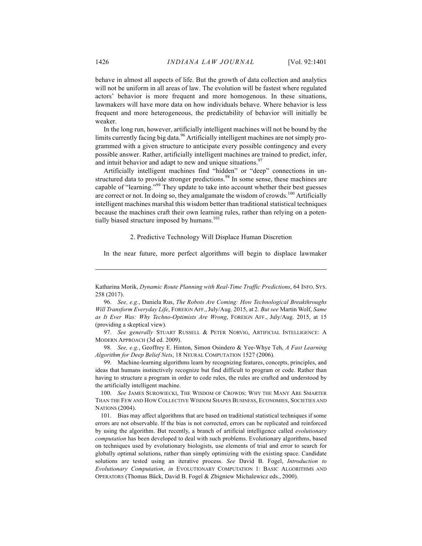behave in almost all aspects of life. But the growth of data collection and analytics will not be uniform in all areas of law. The evolution will be fastest where regulated actors' behavior is more frequent and more homogenous. In these situations, lawmakers will have more data on how individuals behave. Where behavior is less frequent and more heterogeneous, the predictability of behavior will initially be weaker.

In the long run, however, artificially intelligent machines will not be bound by the limits currently facing big data.<sup>96</sup> Artificially intelligent machines are not simply programmed with a given structure to anticipate every possible contingency and every possible answer. Rather, artificially intelligent machines are trained to predict, infer, and intuit behavior and adapt to new and unique situations.<sup>97</sup>

Artificially intelligent machines find "hidden" or "deep" connections in unstructured data to provide stronger predictions.<sup>98</sup> In some sense, these machines are capable of "learning."<sup>99</sup> They update to take into account whether their best guesses are correct or not. In doing so, they amalgamate the wisdom of crowds.<sup>100</sup> Artificially intelligent machines marshal this wisdom better than traditional statistical techniques because the machines craft their own learning rules, rather than relying on a potentially biased structure imposed by humans.<sup>101</sup>

#### 2. Predictive Technology Will Displace Human Discretion

In the near future, more perfect algorithms will begin to displace lawmaker

97. *See generally* STUART RUSSELL & PETER NORVIG, ARTIFICIAL INTELLIGENCE: A MODERN APPROACH (3d ed. 2009).

98. *See, e.g.*, Geoffrey E. Hinton, Simon Osindero & Yee-Whye Teh, *A Fast Learning Algorithm for Deep Belief Nets*, 18 NEURAL COMPUTATION 1527 (2006).

99. Machine-learning algorithms learn by recognizing features, concepts, principles, and ideas that humans instinctively recognize but find difficult to program or code. Rather than having to structure a program in order to code rules, the rules are crafted and understood by the artificially intelligent machine.

100. *See* JAMES SUROWIECKI, THE WISDOM OF CROWDS: WHY THE MANY ARE SMARTER THAN THE FEW AND HOW COLLECTIVE WISDOM SHAPES BUSINESS, ECONOMIES, SOCIETIES AND NATIONS (2004).

101. Bias may affect algorithms that are based on traditional statistical techniques if some errors are not observable. If the bias is not corrected, errors can be replicated and reinforced by using the algorithm. But recently, a branch of artificial intelligence called *evolutionary computation* has been developed to deal with such problems. Evolutionary algorithms, based on techniques used by evolutionary biologists, use elements of trial and error to search for globally optimal solutions, rather than simply optimizing with the existing space. Candidate solutions are tested using an iterative process. *See* David B. Fogel, *Introduction to Evolutionary Computation*, *in* EVOLUTIONARY COMPUTATION 1: BASIC ALGORITHMS AND OPERATORS (Thomas Bäck, David B. Fogel & Zbigniew Michalewicz eds., 2000).

Katharina Morik, *Dynamic Route Planning with Real-Time Traffic Predictions*, 64 INFO. SYS. 258 (2017).

<sup>96.</sup> *See, e.g.*, Daniela Rus, *The Robots Are Coming: How Technological Breakthroughs Will Transform Everyday Life*, FOREIGN AFF.,July/Aug. 2015, at 2. *But see* Martin Wolf, *Same as It Ever Was: Why Techno-Optimists Are Wrong*, FOREIGN AFF., July/Aug. 2015, at 15 (providing a skeptical view).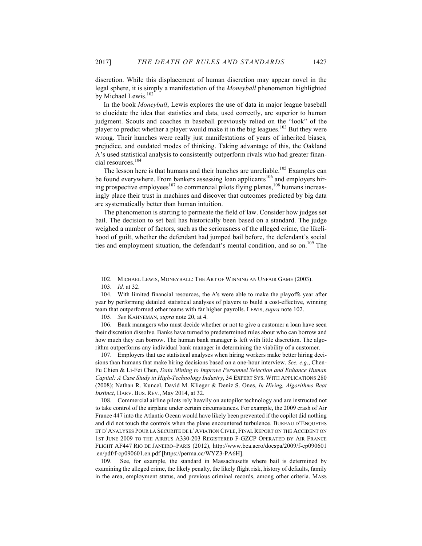discretion. While this displacement of human discretion may appear novel in the legal sphere, it is simply a manifestation of the *Moneyball* phenomenon highlighted by Michael Lewis.<sup>102</sup>

In the book *Moneyball*, Lewis explores the use of data in major league baseball to elucidate the idea that statistics and data, used correctly, are superior to human judgment. Scouts and coaches in baseball previously relied on the "look" of the player to predict whether a player would make it in the big leagues.<sup>103</sup> But they were wrong. Their hunches were really just manifestations of years of inherited biases, prejudice, and outdated modes of thinking. Taking advantage of this, the Oakland A's used statistical analysis to consistently outperform rivals who had greater financial resources.104

The lesson here is that humans and their hunches are unreliable.<sup>105</sup> Examples can be found everywhere. From bankers assessing loan applicants<sup>106</sup> and employers hiring prospective employees<sup>107</sup> to commercial pilots flying planes,<sup>108</sup> humans increasingly place their trust in machines and discover that outcomes predicted by big data are systematically better than human intuition.

The phenomenon is starting to permeate the field of law. Consider how judges set bail. The decision to set bail has historically been based on a standard. The judge weighed a number of factors, such as the seriousness of the alleged crime, the likelihood of guilt, whether the defendant had jumped bail before, the defendant's social ties and employment situation, the defendant's mental condition, and so on.<sup>109</sup> The

 $\overline{a}$ 

106. Bank managers who must decide whether or not to give a customer a loan have seen their discretion dissolve. Banks have turned to predetermined rules about who can borrow and how much they can borrow. The human bank manager is left with little discretion. The algorithm outperforms any individual bank manager in determining the viability of a customer.

107. Employers that use statistical analyses when hiring workers make better hiring decisions than humans that make hiring decisions based on a one-hour interview. *See, e.g*., Chen-Fu Chien & Li-Fei Chen, *Data Mining to Improve Personnel Selection and Enhance Human Capital: A Case Study in High-Technology Industry*, 34 EXPERT SYS. WITH APPLICATIONS 280 (2008); Nathan R. Kuncel, David M. Klieger & Deniz S. Ones, *In Hiring, Algorithms Beat Instinct*, HARV. BUS. REV., May 2014, at 32.

108. Commercial airline pilots rely heavily on autopilot technology and are instructed not to take control of the airplane under certain circumstances. For example, the 2009 crash of Air France 447 into the Atlantic Ocean would have likely been prevented if the copilot did nothing and did not touch the controls when the plane encountered turbulence. BUREAU D'ENQUETES ET D'ANALYSES POUR LA SECURITE DE L'AVIATION CIVLE, FINAL REPORT ON THE ACCIDENT ON 1ST JUNE 2009 TO THE AIRBUS A330-203 REGISTERED F-GZCP OPERATED BY AIR FRANCE FLIGHT AF447 RIO DE JANEIRO*–*PARIS (2012), http://www.bea.aero/docspa/2009/f-cp090601 .en/pdf/f-cp090601.en.pdf [https://perma.cc/WYZ3-PA6H].

109. See, for example, the standard in Massachusetts where bail is determined by examining the alleged crime, the likely penalty, the likely flight risk, history of defaults, family in the area, employment status, and previous criminal records, among other criteria. MASS

<sup>102.</sup> MICHAEL LEWIS, MONEYBALL: THE ART OF WINNING AN UNFAIR GAME (2003).

<sup>103.</sup> *Id.* at 32.

<sup>104.</sup> With limited financial resources, the A's were able to make the playoffs year after year by performing detailed statistical analyses of players to build a cost-effective, winning team that outperformed other teams with far higher payrolls. LEWIS, *supra* note 102.

<sup>105.</sup> *See* KAHNEMAN, *supra* note 20, at 4.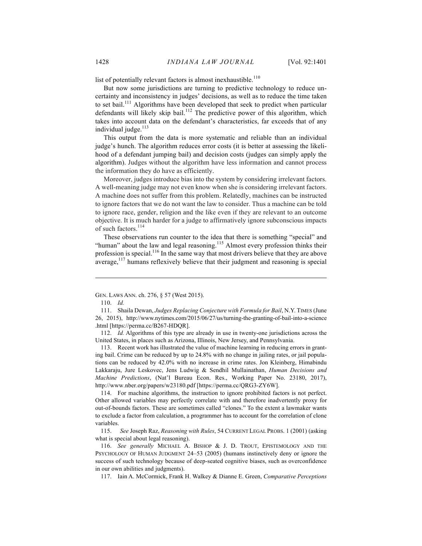list of potentially relevant factors is almost inexhaustible.<sup>110</sup>

But now some jurisdictions are turning to predictive technology to reduce uncertainty and inconsistency in judges' decisions, as well as to reduce the time taken to set bail.<sup>111</sup> Algorithms have been developed that seek to predict when particular defendants will likely skip bail.<sup>112</sup> The predictive power of this algorithm, which takes into account data on the defendant's characteristics, far exceeds that of any individual judge.<sup>113</sup>

This output from the data is more systematic and reliable than an individual judge's hunch. The algorithm reduces error costs (it is better at assessing the likelihood of a defendant jumping bail) and decision costs (judges can simply apply the algorithm). Judges without the algorithm have less information and cannot process the information they do have as efficiently.

Moreover, judges introduce bias into the system by considering irrelevant factors. A well-meaning judge may not even know when she is considering irrelevant factors. A machine does not suffer from this problem. Relatedly, machines can be instructed to ignore factors that we do not want the law to consider. Thus a machine can be told to ignore race, gender, religion and the like even if they are relevant to an outcome objective. It is much harder for a judge to affirmatively ignore subconscious impacts of such factors.<sup>114</sup>

These observations run counter to the idea that there is something "special" and "human" about the law and legal reasoning.<sup>115</sup> Almost every profession thinks their profession is special.<sup>116</sup> In the same way that most drivers believe that they are above average,<sup>117</sup> humans reflexively believe that their judgment and reasoning is special

 $\overline{a}$ 

112. *Id.* Algorithms of this type are already in use in twenty-one jurisdictions across the United States, in places such as Arizona, Illinois, New Jersey, and Pennsylvania.

113. Recent work has illustrated the value of machine learning in reducing errors in granting bail. Crime can be reduced by up to 24.8% with no change in jailing rates, or jail populations can be reduced by 42.0% with no increase in crime rates. Jon Kleinberg, Himabindu Lakkaraju, Jure Leskovec, Jens Ludwig & Sendhil Mullainathan, *Human Decisions and Machine Predictions*, (Nat'l Bureau Econ. Res., Working Paper No. 23180, 2017), http://www.nber.org/papers/w23180.pdf [https://perma.cc/QRG3-ZY6W].

114. For machine algorithms, the instruction to ignore prohibited factors is not perfect. Other allowed variables may perfectly correlate with and therefore inadvertently proxy for out-of-bounds factors. These are sometimes called "clones." To the extent a lawmaker wants to exclude a factor from calculation, a programmer has to account for the correlation of clone variables.

115. *See* Joseph Raz, *Reasoning with Rules*, 54 CURRENT LEGAL PROBS. 1 (2001) (asking what is special about legal reasoning).

116. *See generally* MICHAEL A. BISHOP & J. D. TROUT, EPISTEMOLOGY AND THE PSYCHOLOGY OF HUMAN JUDGMENT 24–53 (2005) (humans instinctively deny or ignore the success of such technology because of deep-seated cognitive biases, such as overconfidence in our own abilities and judgments).

117. Iain A. McCormick, Frank H. Walkey & Dianne E. Green, *Comparative Perceptions* 

GEN. LAWS ANN. ch. 276, § 57 (West 2015).

<sup>110.</sup> *Id.*

<sup>111.</sup> Shaila Dewan, *Judges Replacing Conjecture with Formula for Bail*, N.Y. TIMES (June 26, 2015), http://www.nytimes.com/2015/06/27/us/turning-the-granting-of-bail-into-a-science .html [https://perma.cc/B267-HDQR].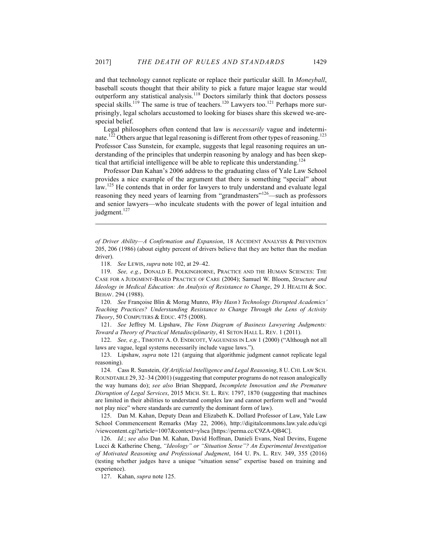and that technology cannot replicate or replace their particular skill. In *Moneyball*, baseball scouts thought that their ability to pick a future major league star would outperform any statistical analysis.<sup>118</sup> Doctors similarly think that doctors possess special skills.<sup>119</sup> The same is true of teachers.<sup>120</sup> Lawyers too.<sup>121</sup> Perhaps more surprisingly, legal scholars accustomed to looking for biases share this skewed we-arespecial belief.

Legal philosophers often contend that law is *necessarily* vague and indeterminate.<sup>122</sup> Others argue that legal reasoning is different from other types of reasoning.<sup>123</sup> Professor Cass Sunstein, for example, suggests that legal reasoning requires an understanding of the principles that underpin reasoning by analogy and has been skeptical that artificial intelligence will be able to replicate this understanding.<sup>124</sup>

Professor Dan Kahan's 2006 address to the graduating class of Yale Law School provides a nice example of the argument that there is something "special" about law.<sup>125</sup> He contends that in order for lawyers to truly understand and evaluate legal reasoning they need years of learning from "grandmasters"<sup>126</sup>—such as professors and senior lawyers—who inculcate students with the power of legal intuition and judgment. $127$ 

 $\overline{a}$ 

120. *See* Françoise Blin & Morag Munro, *Why Hasn't Technology Disrupted Academics' Teaching Practices? Understanding Resistance to Change Through the Lens of Activity Theory*, 50 COMPUTERS & EDUC. 475 (2008).

121. *See* Jeffrey M. Lipshaw, *The Venn Diagram of Business Lawyering Judgments: Toward a Theory of Practical Metadisciplinarity*, 41 SETON HALL L. REV. 1 (2011).

122. *See, e.g.*, TIMOTHY A. O. ENDICOTT, VAGUENESS IN LAW 1 (2000) ("Although not all laws are vague, legal systems necessarily include vague laws.").

123. Lipshaw, *supra* note 121 (arguing that algorithmic judgment cannot replicate legal reasoning).

124. Cass R. Sunstein, *Of Artificial Intelligence and Legal Reasoning*, 8 U. CHI. LAW SCH. ROUNDTABLE 29, 32–34 (2001) (suggesting that computer programs do not reason analogically the way humans do); *see also* Brian Sheppard, *Incomplete Innovation and the Premature Disruption of Legal Services*, 2015 MICH. ST. L. REV. 1797, 1870 (suggesting that machines are limited in their abilities to understand complex law and cannot perform well and "would not play nice" where standards are currently the dominant form of law).

125. Dan M. Kahan, Deputy Dean and Elizabeth K. Dollard Professor of Law, Yale Law School Commencement Remarks (May 22, 2006), http://digitalcommons.law.yale.edu/cgi /viewcontent.cgi?article=1007&context=ylsca [https://perma.cc/C9ZA-QB4C].

126. *Id.*; *see also* Dan M. Kahan, David Hoffman, Danieli Evans, Neal Devins, Eugene Lucci & Katherine Cheng, *"Ideology" or "Situation Sense"? An Experimental Investigation of Motivated Reasoning and Professional Judgment*, 164 U. PA. L. REV. 349, 355 (2016) (testing whether judges have a unique "situation sense" expertise based on training and experience).

127. Kahan, *supra* note 125.

*of Driver Ability—A Confirmation and Expansion*, 18 ACCIDENT ANALYSIS & PREVENTION 205, 206 (1986) (about eighty percent of drivers believe that they are better than the median driver).

<sup>118.</sup> *See* LEWIS, *supra* note 102, at 29–42.

<sup>119.</sup> *See, e.g.*, DONALD E. POLKINGHORNE, PRACTICE AND THE HUMAN SCIENCES: THE CASE FOR A JUDGMENT-BASED PRACTICE OF CARE (2004); Samuel W. Bloom, *Structure and Ideology in Medical Education: An Analysis of Resistance to Change*, 29 J. HEALTH & Soc. BEHAV. 294 (1988).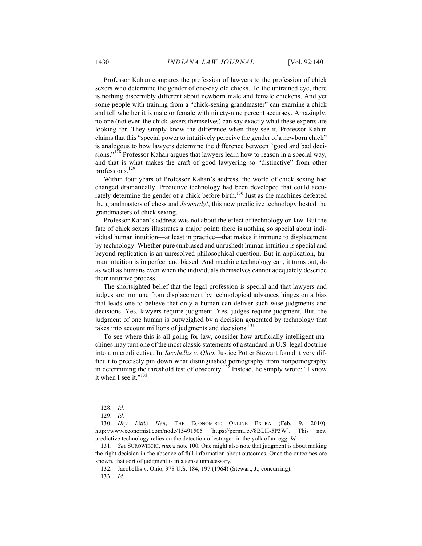Professor Kahan compares the profession of lawyers to the profession of chick sexers who determine the gender of one-day old chicks. To the untrained eye, there is nothing discernibly different about newborn male and female chickens. And yet some people with training from a "chick-sexing grandmaster" can examine a chick and tell whether it is male or female with ninety-nine percent accuracy. Amazingly, no one (not even the chick sexers themselves) can say exactly what these experts are looking for. They simply know the difference when they see it. Professor Kahan claims that this "special power to intuitively perceive the gender of a newborn chick" is analogous to how lawyers determine the difference between "good and bad decisions."<sup>128</sup> Professor Kahan argues that lawyers learn how to reason in a special way, and that is what makes the craft of good lawyering so "distinctive" from other professions.<sup>129</sup>

Within four years of Professor Kahan's address, the world of chick sexing had changed dramatically. Predictive technology had been developed that could accurately determine the gender of a chick before birth.<sup>130</sup> Just as the machines defeated the grandmasters of chess and *Jeopardy!*, this new predictive technology bested the grandmasters of chick sexing.

Professor Kahan's address was not about the effect of technology on law. But the fate of chick sexers illustrates a major point: there is nothing so special about individual human intuition—at least in practice—that makes it immune to displacement by technology. Whether pure (unbiased and unrushed) human intuition is special and beyond replication is an unresolved philosophical question. But in application, human intuition is imperfect and biased. And machine technology can, it turns out, do as well as humans even when the individuals themselves cannot adequately describe their intuitive process.

The shortsighted belief that the legal profession is special and that lawyers and judges are immune from displacement by technological advances hinges on a bias that leads one to believe that only a human can deliver such wise judgments and decisions. Yes, lawyers require judgment. Yes, judges require judgment. But, the judgment of one human is outweighed by a decision generated by technology that takes into account millions of judgments and decisions.<sup>131</sup>

To see where this is all going for law, consider how artificially intelligent machines may turn one of the most classic statements of a standard in U.S. legal doctrine into a microdirective. In *Jacobellis v. Ohio*, Justice Potter Stewart found it very difficult to precisely pin down what distinguished pornography from nonpornography in determining the threshold test of obscenity.<sup>132</sup> Instead, he simply wrote: "I know it when I see it."<sup>133</sup>

 $\overline{a}$ 

132. Jacobellis v. Ohio, 378 U.S. 184, 197 (1964) (Stewart, J., concurring).

133. *Id.* 

<sup>128.</sup> *Id.*

<sup>129.</sup> *Id.*

<sup>130.</sup> *Hey Little Hen*, THE ECONOMIST: ONLINE EXTRA (Feb. 9, 2010), http://www.economist.com/node/15491505 [https://perma.cc/8BLH-5P3W]. This new predictive technology relies on the detection of estrogen in the yolk of an egg. *Id.*

<sup>131.</sup> *See* SUROWIECKI, *supra* note 100*.* One might also note that judgment is about making the right decision in the absence of full information about outcomes. Once the outcomes are known, that sort of judgment is in a sense unnecessary.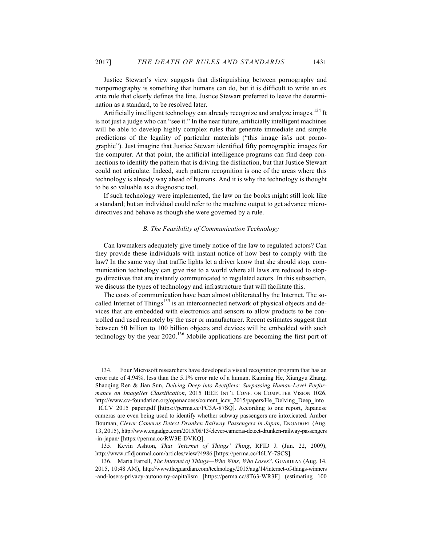Justice Stewart's view suggests that distinguishing between pornography and nonpornography is something that humans can do, but it is difficult to write an ex ante rule that clearly defines the line. Justice Stewart preferred to leave the determination as a standard, to be resolved later.

Artificially intelligent technology can already recognize and analyze images.<sup>134</sup> It is not just a judge who can "see it." In the near future, artificially intelligent machines will be able to develop highly complex rules that generate immediate and simple predictions of the legality of particular materials ("this image is/is not pornographic"). Just imagine that Justice Stewart identified fifty pornographic images for the computer. At that point, the artificial intelligence programs can find deep connections to identify the pattern that is driving the distinction, but that Justice Stewart could not articulate. Indeed, such pattern recognition is one of the areas where this technology is already way ahead of humans. And it is why the technology is thought to be so valuable as a diagnostic tool.

If such technology were implemented, the law on the books might still look like a standard; but an individual could refer to the machine output to get advance microdirectives and behave as though she were governed by a rule.

## *B. The Feasibility of Communication Technology*

Can lawmakers adequately give timely notice of the law to regulated actors? Can they provide these individuals with instant notice of how best to comply with the law? In the same way that traffic lights let a driver know that she should stop, communication technology can give rise to a world where all laws are reduced to stopgo directives that are instantly communicated to regulated actors. In this subsection, we discuss the types of technology and infrastructure that will facilitate this.

The costs of communication have been almost obliterated by the Internet. The socalled Internet of Things<sup>135</sup> is an interconnected network of physical objects and devices that are embedded with electronics and sensors to allow products to be controlled and used remotely by the user or manufacturer. Recent estimates suggest that between 50 billion to 100 billion objects and devices will be embedded with such technology by the year  $2020$ .<sup>136</sup> Mobile applications are becoming the first port of

<sup>134.</sup> Four Microsoft researchers have developed a visual recognition program that has an error rate of 4.94%, less than the 5.1% error rate of a human. Kaiming He, Xiangyu Zhang, Shaoqing Ren & Jian Sun, *Delving Deep into Rectifiers: Surpassing Human-Level Performance on ImageNet Classification*, 2015 IEEE INT'L CONF. ON COMPUTER VISION 1026, http://www.cv-foundation.org/openaccess/content\_iccv\_2015/papers/He\_Delving\_Deep\_into

\_ICCV\_2015\_paper.pdf [https://perma.cc/PC3A-87SQ]. According to one report, Japanese cameras are even being used to identify whether subway passengers are intoxicated. Amber Bouman, *Clever Cameras Detect Drunken Railway Passengers in Japan*, ENGADGET (Aug. 13, 2015), http://www.engadget.com/2015/08/13/clever-cameras-detect-drunken-railway-passengers -in-japan/ [https://perma.cc/RW3E-DVKQ].

<sup>135.</sup> Kevin Ashton, *That 'Internet of Things' Thing*, RFID J. (Jun. 22, 2009), http://www.rfidjournal.com/articles/view?4986 [https://perma.cc/46LY-7SCS].

<sup>136.</sup> Maria Farrell, *The Internet of Things—Who Wins, Who Loses?*, GUARDIAN (Aug. 14, 2015, 10:48 AM), http://www.theguardian.com/technology/2015/aug/14/internet-of-things-winners -and-losers-privacy-autonomy-capitalism [https://perma.cc/8T63-WR3F] (estimating 100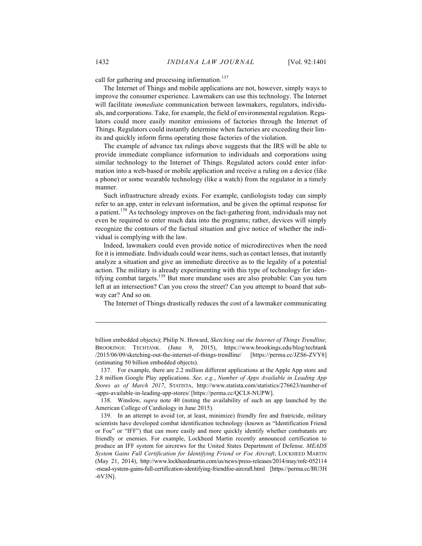call for gathering and processing information.<sup>137</sup>

The Internet of Things and mobile applications are not, however, simply ways to improve the consumer experience. Lawmakers can use this technology. The Internet will facilitate *immediate* communication between lawmakers, regulators, individuals, and corporations. Take, for example, the field of environmental regulation. Regulators could more easily monitor emissions of factories through the Internet of Things. Regulators could instantly determine when factories are exceeding their limits and quickly inform firms operating those factories of the violation.

The example of advance tax rulings above suggests that the IRS will be able to provide immediate compliance information to individuals and corporations using similar technology to the Internet of Things. Regulated actors could enter information into a web-based or mobile application and receive a ruling on a device (like a phone) or some wearable technology (like a watch) from the regulator in a timely manner.

Such infrastructure already exists. For example, cardiologists today can simply refer to an app, enter in relevant information, and be given the optimal response for a patient.<sup>138</sup> As technology improves on the fact-gathering front, individuals may not even be required to enter much data into the programs; rather, devices will simply recognize the contours of the factual situation and give notice of whether the individual is complying with the law.

Indeed, lawmakers could even provide notice of microdirectives when the need for it is immediate. Individuals could wear items, such as contact lenses, that instantly analyze a situation and give an immediate directive as to the legality of a potential action. The military is already experimenting with this type of technology for identifying combat targets.<sup>139</sup> But more mundane uses are also probable: Can you turn left at an intersection? Can you cross the street? Can you attempt to board that subway car? And so on.

The Internet of Things drastically reduces the cost of a lawmaker communicating

billion embedded objects); Philip N. Howard, *Sketching out the Internet of Things Trendline,* BROOKINGS: TECHTANK. (June 9, 2015), https://www.brookings.edu/blog/techtank /2015/06/09/sketching-out-the-internet-of-things-trendline/ [https://perma.cc/JZS6-ZVY8] (estimating 50 billion embedded objects).

<sup>137.</sup> For example, there are 2.2 million different applications at the Apple App store and 2.8 million Google Play applications. *See, e.g.*, *Number of Apps Available in Leading App Stores as of March 2017*, STATISTA, http://www.statista.com/statistics/276623/number-of -apps-available-in-leading-app-stores/ [https://perma.cc/QCL8-NUPW].

<sup>138.</sup> Winslow, *supra* note 40 (noting the availability of such an app launched by the American College of Cardiology in June 2015).

<sup>139.</sup> In an attempt to avoid (or, at least, minimize) friendly fire and fratricide, military scientists have developed combat identification technology (known as "Identification Friend or Foe" or "IFF") that can more easily and more quickly identify whether combatants are friendly or enemies. For example, Lockheed Martin recently announced certification to produce an IFF system for aircrews for the United States Department of Defense. *MEADS System Gains Full Certification for Identifying Friend or Foe Aircraft*, LOCKHEED MARTIN (May 21, 2014), http://www.lockheedmartin.com/us/news/press-releases/2014/may/mfc-052114 -mead-system-gains-full-certification-identifying-friendfoe-aircraft.html [https://perma.cc/BU3H -6V3N].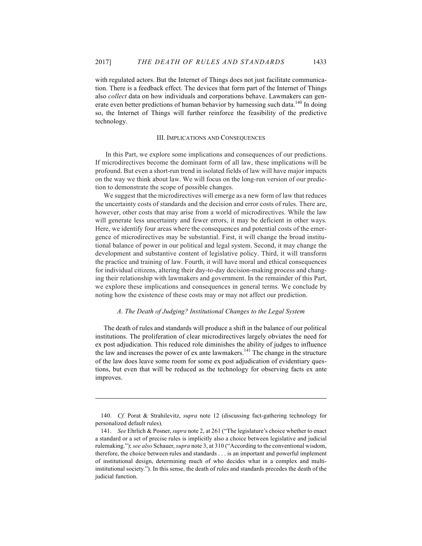with regulated actors. But the Internet of Things does not just facilitate communication. There is a feedback effect. The devices that form part of the Internet of Things also *collect* data on how individuals and corporations behave. Lawmakers can generate even better predictions of human behavior by harnessing such data.<sup>140</sup> In doing so, the Internet of Things will further reinforce the feasibility of the predictive technology.

#### III. IMPLICATIONS AND CONSEQUENCES

In this Part, we explore some implications and consequences of our predictions. If microdirectives become the dominant form of all law, these implications will be profound. But even a short-run trend in isolated fields of law will have major impacts on the way we think about law. We will focus on the long-run version of our prediction to demonstrate the scope of possible changes.

We suggest that the microdirectives will emerge as a new form of law that reduces the uncertainty costs of standards and the decision and error costs of rules. There are, however, other costs that may arise from a world of microdirectives. While the law will generate less uncertainty and fewer errors, it may be deficient in other ways. Here, we identify four areas where the consequences and potential costs of the emergence of microdirectives may be substantial. First, it will change the broad institutional balance of power in our political and legal system. Second, it may change the development and substantive content of legislative policy. Third, it will transform the practice and training of law. Fourth, it will have moral and ethical consequences for individual citizens, altering their day-to-day decision-making process and changing their relationship with lawmakers and government. In the remainder of this Part, we explore these implications and consequences in general terms. We conclude by noting how the existence of these costs may or may not affect our prediction.

## *A. The Death of Judging? Institutional Changes to the Legal System*

The death of rules and standards will produce a shift in the balance of our political institutions. The proliferation of clear microdirectives largely obviates the need for ex post adjudication. This reduced role diminishes the ability of judges to influence the law and increases the power of ex ante lawmakers.<sup>141</sup> The change in the structure of the law does leave some room for some ex post adjudication of evidentiary questions, but even that will be reduced as the technology for observing facts ex ante improves.

<sup>140.</sup> *Cf.* Porat & Strahilevitz, *supra* note 12 (discussing fact-gathering technology for personalized default rules).

<sup>141.</sup> *See* Ehrlich & Posner, *supra* note 2, at 261 ("The legislature's choice whether to enact a standard or a set of precise rules is implicitly also a choice between legislative and judicial rulemaking."); *see also* Schauer, *supra* note 3, at 310 ("According to the conventional wisdom, therefore, the choice between rules and standards . . . is an important and powerful implement of institutional design, determining much of who decides what in a complex and multiinstitutional society."). In this sense, the death of rules and standards precedes the death of the judicial function.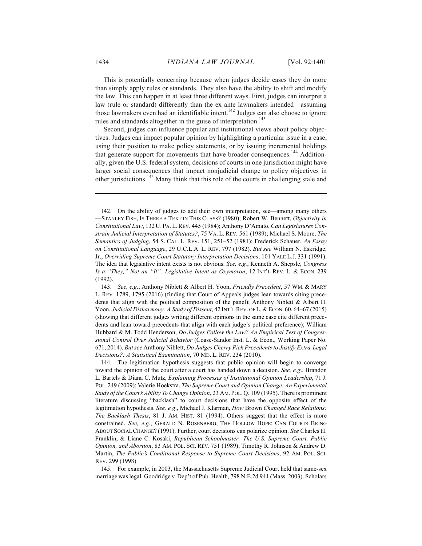This is potentially concerning because when judges decide cases they do more than simply apply rules or standards. They also have the ability to shift and modify the law. This can happen in at least three different ways. First, judges can interpret a law (rule or standard) differently than the ex ante lawmakers intended—assuming those lawmakers even had an identifiable intent.<sup>142</sup> Judges can also choose to ignore rules and standards altogether in the guise of interpretation.<sup>143</sup>

Second, judges can influence popular and institutional views about policy objectives. Judges can impact popular opinion by highlighting a particular issue in a case, using their position to make policy statements, or by issuing incremental holdings that generate support for movements that have broader consequences.<sup>144</sup> Additionally, given the U.S. federal system, decisions of courts in one jurisdiction might have larger social consequences that impact nonjudicial change to policy objectives in other jurisdictions.145 Many think that this role of the courts in challenging stale and

145. For example, in 2003, the Massachusetts Supreme Judicial Court held that same-sex marriage was legal. Goodridge v. Dep't of Pub. Health, 798 N.E.2d 941 (Mass. 2003). Scholars

<sup>142.</sup> On the ability of judges to add their own interpretation, see—among many others —STANLEY FISH, IS THERE A TEXT IN THIS CLASS? (1980); Robert W. Bennett, *Objectivity in Constitutional Law*, 132 U. PA. L.REV*.* 445 (1984); Anthony D'Amato, *Can Legislatures Constrain Judicial Interpretation of Statutes?*, 75 VA. L. REV*.* 561 (1989); Michael S. Moore, *The Semantics of Judging*, 54 S. CAL. L. REV. 151, 251–52 (1981); Frederick Schauer, *An Essay on Constitutional Language*, 29 U.C.L.A. L. REV. 797 (1982). *But see* William N. Eskridge, Jr., *Overriding Supreme Court Statutory Interpretation Decisions*, 101 YALE L.J. 331 (1991). The idea that legislative intent exists is not obvious. *See, e.g.*, Kenneth A. Shepsle, *Congress Is a "They," Not an "It": Legislative Intent as Oxymoron*, 12 INT'L REV. L. & ECON. 239 (1992).

<sup>143.</sup> *See, e.g.*, Anthony Niblett & Albert H. Yoon, *Friendly Precedent*, 57 WM. & MARY L. REV*.* 1789, 1795 (2016) (finding that Court of Appeals judges lean towards citing precedents that align with the political composition of the panel); Anthony Niblett & Albert H. Yoon, *Judicial Disharmony: A Study of Dissent*, 42 INT'L REV. OF L. & ECON. 60, 64–67 (2015) (showing that different judges writing different opinions in the same case cite different precedents and lean toward precedents that align with each judge's political preference); William Hubbard & M. Todd Henderson, *Do Judges Follow the Law? An Empirical Test of Congressional Control Over Judicial Behavior* (Coase-Sandor Inst. L. & Econ., Working Paper No. 671, 2014). *But see* Anthony Niblett, *Do Judges Cherry Pick Precedents to Justify Extra-Legal Decisions?: A Statistical Examination*, 70 MD. L. REV. 234 (2010).

<sup>144.</sup> The legitimation hypothesis suggests that public opinion will begin to converge toward the opinion of the court after a court has handed down a decision. *See, e.g*., Brandon L. Bartels & Diana C. Mutz, *Explaining Processes of Institutional Opinion Leadership*, 71 J. POL. 249 (2009); Valerie Hoekstra, *The Supreme Court and Opinion Change: An Experimental Study of the Court's Ability To Change Opinion*, 23 AM. POL. Q. 109 (1995). There is prominent literature discussing "backlash" to court decisions that have the opposite effect of the legitimation hypothesis. *See, e.g*., Michael J. Klarman, *How* Brown *Changed Race Relations: The Backlash Thesis*, 81 J. AM. HIST. 81 (1994). Others suggest that the effect is more constrained. *See, e.g.*, GERALD N. ROSENBERG, THE HOLLOW HOPE: CAN COURTS BRING ABOUT SOCIAL CHANGE? (1991). Further, court decisions can polarize opinion. *See* Charles H. Franklin, & Liane C. Kosaki, *Republican Schoolmaster: The U.S. Supreme Court, Public Opinion, and Abortion*, 83 AM. POL. SCI. REV. 751 (1989); Timothy R. Johnson & Andrew D. Martin, *The Public's Conditional Response to Supreme Court Decisions*, 92 AM. POL. SCI. REV. 299 (1998).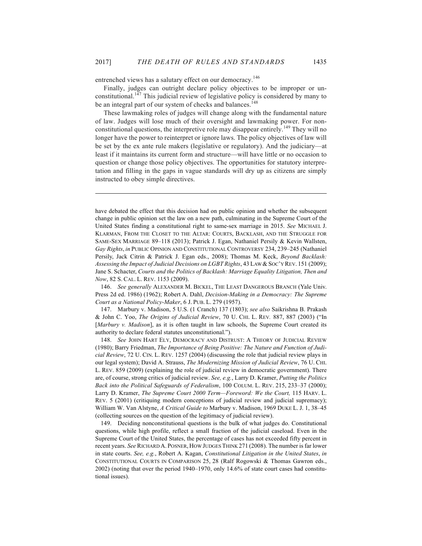entrenched views has a salutary effect on our democracy.<sup>146</sup>

 $\overline{a}$ 

Finally, judges can outright declare policy objectives to be improper or unconstitutional.<sup>147</sup> This judicial review of legislative policy is considered by many to be an integral part of our system of checks and balances.<sup>148</sup>

These lawmaking roles of judges will change along with the fundamental nature of law. Judges will lose much of their oversight and lawmaking power. For nonconstitutional questions, the interpretive role may disappear entirely.<sup>149</sup> They will no longer have the power to reinterpret or ignore laws. The policy objectives of law will be set by the ex ante rule makers (legislative or regulatory). And the judiciary—at least if it maintains its current form and structure—will have little or no occasion to question or change those policy objectives. The opportunities for statutory interpretation and filling in the gaps in vague standards will dry up as citizens are simply instructed to obey simple directives.

have debated the effect that this decision had on public opinion and whether the subsequent change in public opinion set the law on a new path, culminating in the Supreme Court of the United States finding a constitutional right to same-sex marriage in 2015. *See* MICHAEL J. KLARMAN, FROM THE CLOSET TO THE ALTAR: COURTS, BACKLASH, AND THE STRUGGLE FOR SAME-SEX MARRIAGE 89–118 (2013); Patrick J. Egan, Nathaniel Persily & Kevin Wallsten, *Gay Rights*, *in* PUBLIC OPINION AND CONSTITUTIONAL CONTROVERSY 234, 239–245 (Nathaniel Persily, Jack Citrin & Patrick J. Egan eds., 2008); Thomas M. Keck, *Beyond Backlash: Assessing the Impact of Judicial Decisions on LGBT Rights*, 43 LAW & SOC'Y REV. 151 (2009); Jane S. Schacter, *Courts and the Politics of Backlash: Marriage Equality Litigation, Then and Now*, 82 S. CAL. L. REV. 1153 (2009).

146. *See generally* ALEXANDER M. BICKEL, THE LEAST DANGEROUS BRANCH (Yale Univ. Press 2d ed. 1986) (1962); Robert A. Dahl, *Decision-Making in a Democracy: The Supreme Court as a National Policy-Maker*, 6 J. PUB. L. 279 (1957).

147. Marbury v. Madison, 5 U.S. (1 Cranch) 137 (1803); *see also* Saikrishna B. Prakash & John C. Yoo, *The Origins of Judicial Review*, 70 U. CHI. L. REV*.* 887, 887 (2003) ("In [*Marbury v. Madison*], as it is often taught in law schools, the Supreme Court created its authority to declare federal statutes unconstitutional.").

148. *See* JOHN HART ELY, DEMOCRACY AND DISTRUST: A THEORY OF JUDICIAL REVIEW (1980); Barry Friedman, *The Importance of Being Positive: The Nature and Function of Judicial Review*, 72 U. CIN. L. REV. 1257 (2004) (discussing the role that judicial review plays in our legal system); David A. Strauss, *The Modernizing Mission of Judicial Review*, 76 U. CHI. L. REV. 859 (2009) (explaining the role of judicial review in democratic government). There are, of course, strong critics of judicial review. *See, e.g.*, Larry D. Kramer, *Putting the Politics Back into the Political Safeguards of Federalism*, 100 COLUM. L. REV. 215, 233–37 (2000); Larry D. Kramer, *The Supreme Court 2000 Term—Foreword: We the Court*, 115 HARV. L. REV. 5 (2001) (critiquing modern conceptions of judicial review and judicial supremacy); William W. Van Alstyne, *A Critical Guide to* Marbury v. Madison, 1969 DUKE L. J. 1, 38–45 (collecting sources on the question of the legitimacy of judicial review).

149. Deciding nonconstitutional questions is the bulk of what judges do. Constitutional questions, while high profile, reflect a small fraction of the judicial caseload. Even in the Supreme Court of the United States, the percentage of cases has not exceeded fifty percent in recent years. *See* RICHARD A. POSNER, HOW JUDGES THINK 271 (2008). The number is far lower in state courts. *See, e.g.*, Robert A. Kagan, *Constitutional Litigation in the United States*, *in* CONSTITUTIONAL COURTS IN COMPARISON 25, 28 (Ralf Rogowski & Thomas Gawron eds., 2002) (noting that over the period 1940–1970, only 14.6% of state court cases had constitutional issues).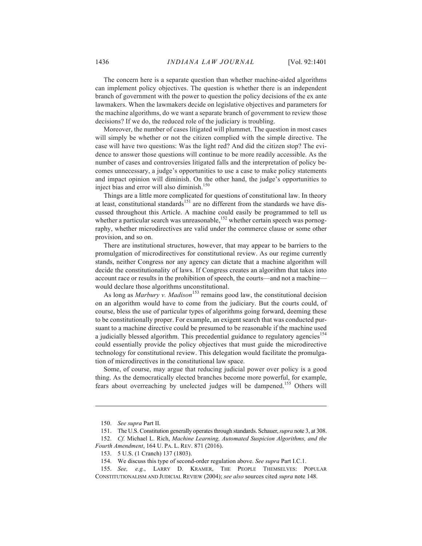The concern here is a separate question than whether machine-aided algorithms can implement policy objectives. The question is whether there is an independent branch of government with the power to question the policy decisions of the ex ante lawmakers. When the lawmakers decide on legislative objectives and parameters for the machine algorithms, do we want a separate branch of government to review those decisions? If we do, the reduced role of the judiciary is troubling.

Moreover, the number of cases litigated will plummet. The question in most cases will simply be whether or not the citizen complied with the simple directive. The case will have two questions: Was the light red? And did the citizen stop? The evidence to answer those questions will continue to be more readily accessible. As the number of cases and controversies litigated falls and the interpretation of policy becomes unnecessary, a judge's opportunities to use a case to make policy statements and impact opinion will diminish. On the other hand, the judge's opportunities to inject bias and error will also diminish.<sup>150</sup>

Things are a little more complicated for questions of constitutional law. In theory at least, constitutional standards<sup>151</sup> are no different from the standards we have discussed throughout this Article. A machine could easily be programmed to tell us whether a particular search was unreasonable, $152$  whether certain speech was pornography, whether microdirectives are valid under the commerce clause or some other provision, and so on.

There are institutional structures, however, that may appear to be barriers to the promulgation of microdirectives for constitutional review. As our regime currently stands, neither Congress nor any agency can dictate that a machine algorithm will decide the constitutionality of laws. If Congress creates an algorithm that takes into account race or results in the prohibition of speech, the courts—and not a machine would declare those algorithms unconstitutional.

As long as *Marbury v. Madison*<sup>153</sup> remains good law, the constitutional decision on an algorithm would have to come from the judiciary. But the courts could, of course, bless the use of particular types of algorithms going forward, deeming these to be constitutionally proper. For example, an exigent search that was conducted pursuant to a machine directive could be presumed to be reasonable if the machine used a judicially blessed algorithm. This precedential guidance to regulatory agencies<sup>154</sup> could essentially provide the policy objectives that must guide the microdirective technology for constitutional review. This delegation would facilitate the promulgation of microdirectives in the constitutional law space.

Some, of course, may argue that reducing judicial power over policy is a good thing. As the democratically elected branches become more powerful, for example, fears about overreaching by unelected judges will be dampened.<sup>155</sup> Others will

<sup>150.</sup> *See supra* Part II.

<sup>151.</sup> The U.S. Constitution generally operates through standards. Schauer, *supra* note 3, at 308.

<sup>152.</sup> *Cf.* Michael L. Rich, *Machine Learning, Automated Suspicion Algorithms, and the Fourth Amendment*, 164 U. PA. L. REV. 871 (2016).

<sup>153.</sup> 5 U.S. (1 Cranch) 137 (1803).

<sup>154.</sup> We discuss this type of second-order regulation above. *See supra* Part I.C.1.

<sup>155.</sup> *See, e.g.*, LARRY D. KRAMER, THE PEOPLE THEMSELVES: POPULAR CONSTITUTIONALISM AND JUDICIAL REVIEW (2004); *see also* sources cited *supra* note 148.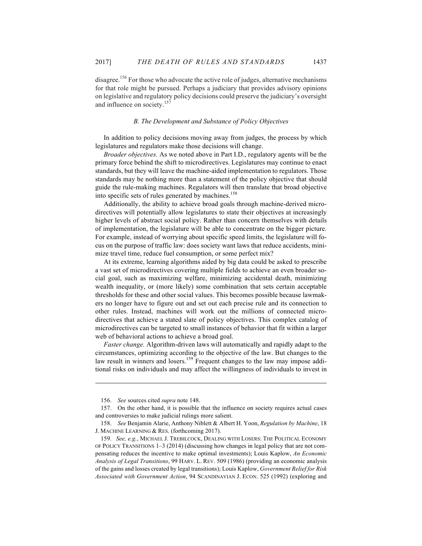disagree.<sup>156</sup> For those who advocate the active role of judges, alternative mechanisms for that role might be pursued. Perhaps a judiciary that provides advisory opinions on legislative and regulatory policy decisions could preserve the judiciary's oversight and influence on society.<sup>157</sup>

#### *B. The Development and Substance of Policy Objectives*

In addition to policy decisions moving away from judges, the process by which legislatures and regulators make those decisions will change.

*Broader objectives.* As we noted above in Part I.D., regulatory agents will be the primary force behind the shift to microdirectives. Legislatures may continue to enact standards, but they will leave the machine-aided implementation to regulators. Those standards may be nothing more than a statement of the policy objective that should guide the rule-making machines. Regulators will then translate that broad objective into specific sets of rules generated by machines.<sup>158</sup>

Additionally, the ability to achieve broad goals through machine-derived microdirectives will potentially allow legislatures to state their objectives at increasingly higher levels of abstract social policy. Rather than concern themselves with details of implementation, the legislature will be able to concentrate on the bigger picture. For example, instead of worrying about specific speed limits, the legislature will focus on the purpose of traffic law: does society want laws that reduce accidents, minimize travel time, reduce fuel consumption, or some perfect mix?

At its extreme, learning algorithms aided by big data could be asked to prescribe a vast set of microdirectives covering multiple fields to achieve an even broader social goal, such as maximizing welfare, minimizing accidental death, minimizing wealth inequality, or (more likely) some combination that sets certain acceptable thresholds for these and other social values. This becomes possible because lawmakers no longer have to figure out and set out each precise rule and its connection to other rules. Instead, machines will work out the millions of connected microdirectives that achieve a stated slate of policy objectives. This complex catalog of microdirectives can be targeted to small instances of behavior that fit within a larger web of behavioral actions to achieve a broad goal.

*Faster change.* Algorithm-driven laws will automatically and rapidly adapt to the circumstances, optimizing according to the objective of the law. But changes to the law result in winners and losers.<sup>159</sup> Frequent changes to the law may impose additional risks on individuals and may affect the willingness of individuals to invest in

<sup>156.</sup> *See* sources cited *supra* note 148.

<sup>157.</sup> On the other hand, it is possible that the influence on society requires actual cases and controversies to make judicial rulings more salient.

<sup>158.</sup> *See* Benjamin Alarie, Anthony Niblett & Albert H. Yoon, *Regulation by Machine*, 18 J. MACHINE LEARNING & RES. (forthcoming 2017).

<sup>159.</sup> *See, e.g.*, MICHAEL J. TREBILCOCK, DEALING WITH LOSERS: THE POLITICAL ECONOMY OF POLICY TRANSITIONS 1–3 (2014) (discussing how changes in legal policy that are not compensating reduces the incentive to make optimal investments); Louis Kaplow, *An Economic Analysis of Legal Transitions*, 99 HARV. L. REV. 509 (1986) (providing an economic analysis of the gains and losses created by legal transitions); Louis Kaplow, *Government Relief for Risk Associated with Government Action*, 94 SCANDINAVIAN J. ECON. 525 (1992) (exploring and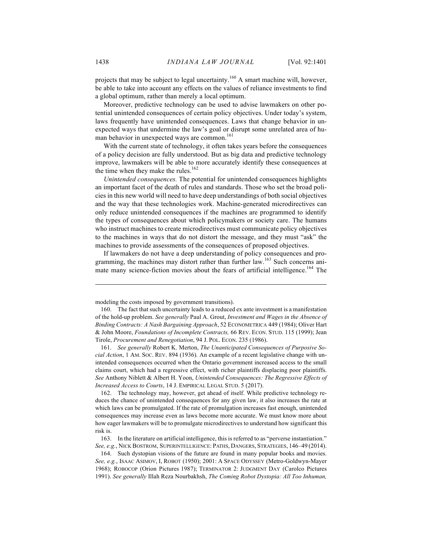projects that may be subject to legal uncertainty.<sup>160</sup> A smart machine will, however, be able to take into account any effects on the values of reliance investments to find a global optimum, rather than merely a local optimum.

Moreover, predictive technology can be used to advise lawmakers on other potential unintended consequences of certain policy objectives. Under today's system, laws frequently have unintended consequences. Laws that change behavior in unexpected ways that undermine the law's goal or disrupt some unrelated area of human behavior in unexpected ways are common.<sup>161</sup>

With the current state of technology, it often takes years before the consequences of a policy decision are fully understood. But as big data and predictive technology improve, lawmakers will be able to more accurately identify these consequences at the time when they make the rules. $162$ 

*Unintended consequences.* The potential for unintended consequences highlights an important facet of the death of rules and standards. Those who set the broad policies in this new world will need to have deep understandings of both social objectives and the way that these technologies work. Machine-generated microdirectives can only reduce unintended consequences if the machines are programmed to identify the types of consequences about which policymakers or society care. The humans who instruct machines to create microdirectives must communicate policy objectives to the machines in ways that do not distort the message, and they must "ask" the machines to provide assessments of the consequences of proposed objectives.

If lawmakers do not have a deep understanding of policy consequences and programming, the machines may distort rather than further law.<sup>163</sup> Such concerns animate many science-fiction movies about the fears of artificial intelligence.<sup>164</sup> The

162. The technology may, however, get ahead of itself. While predictive technology reduces the chance of unintended consequences for any given law, it also increases the rate at which laws can be promulgated. If the rate of promulgation increases fast enough, unintended consequences may increase even as laws become more accurate. We must know more about how eager lawmakers will be to promulgate microdirectives to understand how significant this risk is.

163. In the literature on artificial intelligence, this is referred to as "perverse instantiation." *See, e.g.*, NICK BOSTROM, SUPERINTELLIGENCE: PATHS, DANGERS, STRATEGIES, 146–49 (2014).

164. Such dystopian visions of the future are found in many popular books and movies. *See, e.g.*, ISAAC ASIMOV, I, ROBOT (1950); 2001: A SPACE ODYSSEY (Metro-Goldwyn-Mayer 1968); ROBOCOP (Orion Pictures 1987); TERMINATOR 2: JUDGMENT DAY (Carolco Pictures 1991). *See generally* Illah Reza Nourbakhsh, *The Coming Robot Dystopia: All Too Inhuman,* 

modeling the costs imposed by government transitions).

<sup>160.</sup> The fact that such uncertainty leads to a reduced ex ante investment is a manifestation of the hold-up problem. *See generally* Paul A. Grout, *Investment and Wages in the Absence of Binding Contracts: A Nash Bargaining Approach*, 52 ECONOMETRICA 449 (1984); Oliver Hart & John Moore, *Foundations of Incomplete Contracts,* 66 REV. ECON. STUD. 115 (1999); Jean Tirole, *Procurement and Renegotiation*, 94 J. POL. ECON. 235 (1986).

<sup>161.</sup> *See generally* Robert K. Merton, *The Unanticipated Consequences of Purposive Social Action*, 1 AM. SOC. REV. 894 (1936). An example of a recent legislative change with unintended consequences occurred when the Ontario government increased access to the small claims court, which had a regressive effect, with richer plaintiffs displacing poor plaintiffs. *See* Anthony Niblett & Albert H. Yoon, *Unintended Consequences: The Regressive Effects of Increased Access to Courts*, 14 J. EMPIRICAL LEGAL STUD. 5 (2017).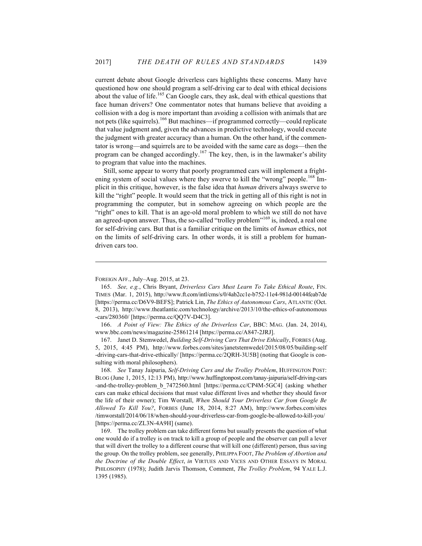current debate about Google driverless cars highlights these concerns. Many have questioned how one should program a self-driving car to deal with ethical decisions about the value of life.<sup>165</sup> Can Google cars, they ask, deal with ethical questions that face human drivers? One commentator notes that humans believe that avoiding a collision with a dog is more important than avoiding a collision with animals that are not pets (like squirrels).<sup>166</sup> But machines—if programmed correctly—could replicate that value judgment and, given the advances in predictive technology, would execute the judgment with greater accuracy than a human. On the other hand, if the commentator is wrong—and squirrels are to be avoided with the same care as dogs—then the program can be changed accordingly.<sup>167</sup> The key, then, is in the lawmaker's ability to program that value into the machines.

Still, some appear to worry that poorly programmed cars will implement a frightening system of social values where they swerve to kill the "wrong" people.<sup>168</sup> Implicit in this critique, however, is the false idea that *human* drivers always swerve to kill the "right" people. It would seem that the trick in getting all of this right is not in programming the computer, but in somehow agreeing on which people are the "right" ones to kill. That is an age-old moral problem to which we still do not have an agreed-upon answer. Thus, the so-called "trolley problem"<sup>169</sup> is, indeed, a real one for self-driving cars. But that is a familiar critique on the limits of *human* ethics, not on the limits of self-driving cars. In other words, it is still a problem for humandriven cars too.

FOREIGN AFF., July–Aug. 2015, at 23.

<sup>165.</sup> *See, e.g.*, Chris Bryant, *Driverless Cars Must Learn To Take Ethical Route*, FIN. TIMES (Mar. 1, 2015), http://www.ft.com/intl/cms/s/0/4ab2cc1e-b752-11e4-981d-00144feab7de [https://perma.cc/D6V9-BEFS]; Patrick Lin, *The Ethics of Autonomous Cars*, ATLANTIC (Oct. 8, 2013), http://www.theatlantic.com/technology/archive/2013/10/the-ethics-of-autonomous -cars/280360/ [https://perma.cc/QQ7V-D4C3].

<sup>166.</sup> *A Point of View: The Ethics of the Driverless Car*, BBC: MAG. (Jan. 24, 2014), www.bbc.com/news/magazine-25861214 [https://perma.cc/A847-2JRJ].

<sup>167.</sup> Janet D. Stemwedel, *Building Self-Driving Cars That Drive Ethically*, FORBES (Aug. 5, 2015, 4:45 PM), http://www.forbes.com/sites/janetstemwedel/2015/08/05/building-self -driving-cars-that-drive-ethically/ [https://perma.cc/2QRH-3U5B] (noting that Google is consulting with moral philosophers).

<sup>168.</sup> *See* Tanay Jaipuria, *Self-Driving Cars and the Trolley Problem*, HUFFINGTON POST: BLOG (June 1, 2015, 12:13 PM), http://www.huffingtonpost.com/tanay-jaipuria/self-driving-cars -and-the-trolley-problem\_b\_7472560.html [https://perma.cc/CP4M-5GC4] (asking whether cars can make ethical decisions that must value different lives and whether they should favor the life of their owner); Tim Worstall, *When Should Your Driverless Car from Google Be Allowed To Kill You?*, FORBES (June 18, 2014, 8:27 AM), http://www.forbes.com/sites /timworstall/2014/06/18/when-should-your-driverless-car-from-google-be-allowed-to-kill-you/ [https://perma.cc/ZL3N-4A9H] (same).

<sup>169.</sup> The trolley problem can take different forms but usually presents the question of what one would do if a trolley is on track to kill a group of people and the observer can pull a lever that will divert the trolley to a different course that will kill one (different) person, thus saving the group. On the trolley problem, see generally, PHILIPPA FOOT, *The Problem of Abortion and the Doctrine of the Double Effect*, *in* VIRTUES AND VICES AND OTHER ESSAYS IN MORAL PHILOSOPHY (1978); Judith Jarvis Thomson, Comment, *The Trolley Problem*, 94 YALE L.J. 1395 (1985).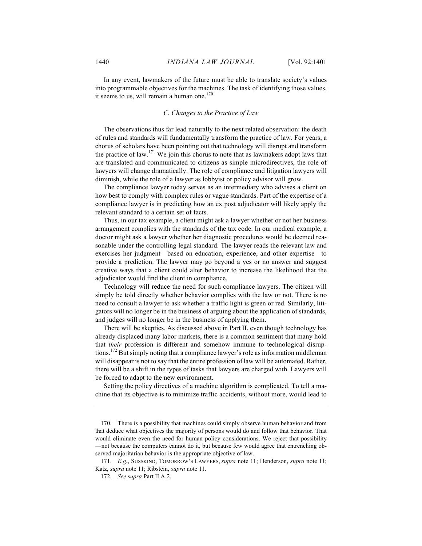In any event, lawmakers of the future must be able to translate society's values into programmable objectives for the machines. The task of identifying those values, it seems to us, will remain a human one. $170$ 

# *C. Changes to the Practice of Law*

The observations thus far lead naturally to the next related observation: the death of rules and standards will fundamentally transform the practice of law. For years, a chorus of scholars have been pointing out that technology will disrupt and transform the practice of law.<sup>171</sup> We join this chorus to note that as lawmakers adopt laws that are translated and communicated to citizens as simple microdirectives, the role of lawyers will change dramatically. The role of compliance and litigation lawyers will diminish, while the role of a lawyer as lobbyist or policy advisor will grow.

The compliance lawyer today serves as an intermediary who advises a client on how best to comply with complex rules or vague standards. Part of the expertise of a compliance lawyer is in predicting how an ex post adjudicator will likely apply the relevant standard to a certain set of facts.

Thus, in our tax example, a client might ask a lawyer whether or not her business arrangement complies with the standards of the tax code. In our medical example, a doctor might ask a lawyer whether her diagnostic procedures would be deemed reasonable under the controlling legal standard. The lawyer reads the relevant law and exercises her judgment—based on education, experience, and other expertise—to provide a prediction. The lawyer may go beyond a yes or no answer and suggest creative ways that a client could alter behavior to increase the likelihood that the adjudicator would find the client in compliance.

Technology will reduce the need for such compliance lawyers. The citizen will simply be told directly whether behavior complies with the law or not. There is no need to consult a lawyer to ask whether a traffic light is green or red. Similarly, litigators will no longer be in the business of arguing about the application of standards, and judges will no longer be in the business of applying them.

There will be skeptics. As discussed above in Part II, even though technology has already displaced many labor markets, there is a common sentiment that many hold that *their* profession is different and somehow immune to technological disruptions.172 But simply noting that a compliance lawyer's role as information middleman will disappear is not to say that the entire profession of law will be automated. Rather, there will be a shift in the types of tasks that lawyers are charged with. Lawyers will be forced to adapt to the new environment.

Setting the policy directives of a machine algorithm is complicated. To tell a machine that its objective is to minimize traffic accidents, without more, would lead to

<sup>170.</sup> There is a possibility that machines could simply observe human behavior and from that deduce what objectives the majority of persons would do and follow that behavior. That would eliminate even the need for human policy considerations. We reject that possibility —not because the computers cannot do it, but because few would agree that entrenching observed majoritarian behavior is the appropriate objective of law.

<sup>171.</sup> *E.g.*, SUSSKIND, TOMORROW'S LAWYERS, *supra* note 11; Henderson, *supra* note 11; Katz, *supra* note 11; Ribstein, *supra* note 11.

<sup>172.</sup> *See supra* Part II.A.2.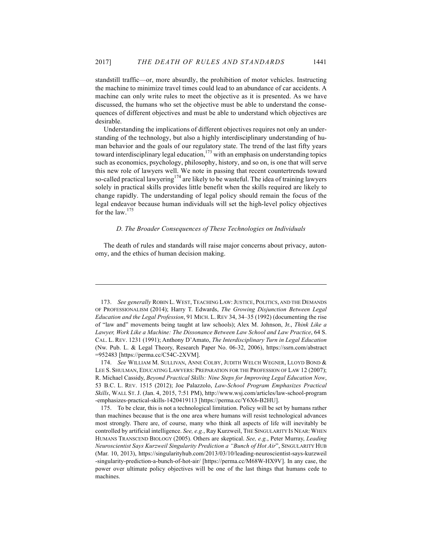standstill traffic—or, more absurdly, the prohibition of motor vehicles. Instructing the machine to minimize travel times could lead to an abundance of car accidents. A machine can only write rules to meet the objective as it is presented. As we have discussed, the humans who set the objective must be able to understand the consequences of different objectives and must be able to understand which objectives are desirable.

Understanding the implications of different objectives requires not only an understanding of the technology, but also a highly interdisciplinary understanding of human behavior and the goals of our regulatory state. The trend of the last fifty years toward interdisciplinary legal education, $173$  with an emphasis on understanding topics such as economics, psychology, philosophy, history, and so on, is one that will serve this new role of lawyers well. We note in passing that recent countertrends toward so-called practical lawyering<sup>174</sup> are likely to be wasteful. The idea of training lawyers solely in practical skills provides little benefit when the skills required are likely to change rapidly. The understanding of legal policy should remain the focus of the legal endeavor because human individuals will set the high-level policy objectives for the law.<sup>175</sup>

#### *D. The Broader Consequences of These Technologies on Individuals*

The death of rules and standards will raise major concerns about privacy, autonomy, and the ethics of human decision making.

<sup>173.</sup> *See generally* ROBIN L. WEST, TEACHING LAW:JUSTICE, POLITICS, AND THE DEMANDS OF PROFESSIONALISM (2014); Harry T. Edwards, *The Growing Disjunction Between Legal Education and the Legal Profession*, 91 MICH. L. REV 34, 34–35 (1992) (documenting the rise of "law and" movements being taught at law schools); Alex M. Johnson, Jr., *Think Like a Lawyer, Work Like a Machine: The Dissonance Between Law School and Law Practice*, 64 S. CAL. L. REV. 1231 (1991); Anthony D'Amato, *The Interdisciplinary Turn in Legal Education*  (Nw. Pub. L. & Legal Theory, Research Paper No. 06-32, 2006), https://ssrn.com/abstract =952483 [https://perma.cc/C54C-2XVM].

<sup>174.</sup> *See* WILLIAM M. SULLIVAN, ANNE COLBY, JUDITH WELCH WEGNER, LLOYD BOND & LEE S. SHULMAN, EDUCATING LAWYERS: PREPARATION FOR THE PROFESSION OF LAW 12 (2007); R. Michael Cassidy, *Beyond Practical Skills: Nine Steps for Improving Legal Education Now*, 53 B.C. L. REV. 1515 (2012); Joe Palazzolo, *Law-School Program Emphasizes Practical Skills*, WALL ST. J. (Jan. 4, 2015, 7:51 PM), http://www.wsj.com/articles/law-school-program -emphasizes-practical-skills-1420419113 [https://perma.cc/Y6X6-B2HU].

<sup>175.</sup> To be clear, this is not a technological limitation. Policy will be set by humans rather than machines because that is the one area where humans will resist technological advances most strongly. There are, of course, many who think all aspects of life will inevitably be controlled by artificial intelligence. *See, e.g.*, Ray Kurzweil, THE SINGULARITY IS NEAR: WHEN HUMANS TRANSCEND BIOLOGY (2005). Others are skeptical. *See, e.g.*, Peter Murray, *Leading Neuroscientist Says Kurzweil Singularity Prediction a "Bunch of Hot Air*", SINGULARITY HUB (Mar. 10, 2013), https://singularityhub.com/2013/03/10/leading-neuroscientist-says-kurzweil -singularity-prediction-a-bunch-of-hot-air/ [https://perma.cc/M68W-HX9V]. In any case, the power over ultimate policy objectives will be one of the last things that humans cede to machines.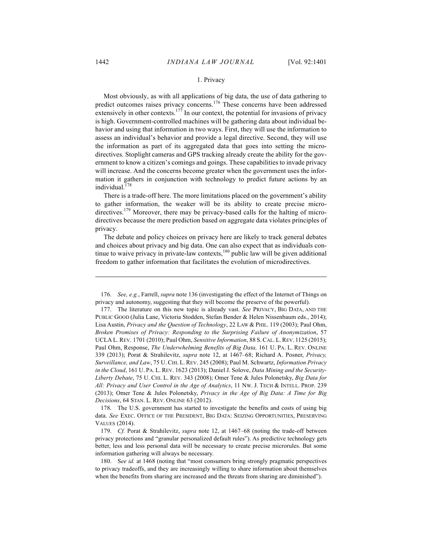## 1. Privacy

Most obviously, as with all applications of big data, the use of data gathering to predict outcomes raises privacy concerns.<sup>176</sup> These concerns have been addressed extensively in other contexts.<sup>177</sup> In our context, the potential for invasions of privacy is high. Government-controlled machines will be gathering data about individual behavior and using that information in two ways. First, they will use the information to assess an individual's behavior and provide a legal directive. Second, they will use the information as part of its aggregated data that goes into setting the microdirectives. Stoplight cameras and GPS tracking already create the ability for the government to know a citizen's comings and goings. These capabilities to invade privacy will increase. And the concerns become greater when the government uses the information it gathers in conjunction with technology to predict future actions by an individual. $1/8$ 

There is a trade-off here. The more limitations placed on the government's ability to gather information, the weaker will be its ability to create precise microdirectives.<sup>179</sup> Moreover, there may be privacy-based calls for the halting of microdirectives because the mere prediction based on aggregate data violates principles of privacy.

The debate and policy choices on privacy here are likely to track general debates and choices about privacy and big data. One can also expect that as individuals continue to waive privacy in private-law contexts, $180$  public law will be given additional freedom to gather information that facilitates the evolution of microdirectives.

<sup>176.</sup> *See, e.g.*, Farrell, *supra* note 136 (investigating the effect of the Internet of Things on privacy and autonomy, suggesting that they will become the preserve of the powerful).

<sup>177.</sup> The literature on this new topic is already vast. *See* PRIVACY, BIG DATA, AND THE PUBLIC GOOD (Julia Lane, Victoria Stodden, Stefan Bender & Helen Nissenbaum eds., 2014); Lisa Austin, *Privacy and the Question of Technology*, 22 LAW & PHIL. 119 (2003); Paul Ohm, *Broken Promises of Privacy: Responding to the Surprising Failure of Anonymization*, 57 UCLA L. REV. 1701 (2010); Paul Ohm, *Sensitive Information*, 88 S. CAL. L. REV. 1125 (2015); Paul Ohm, Response, *The Underwhelming Benefits of Big Data,* 161 U. PA. L. REV. ONLINE 339 (2013); Porat & Strahilevitz, *supra* note 12, at 1467–68; Richard A. Posner, *Privacy, Surveillance, and Law*, 75 U. CHI. L. REV. 245 (2008); Paul M. Schwartz, *Information Privacy in the Cloud*, 161 U. PA. L. REV. 1623 (2013); Daniel J. Solove, *Data Mining and the Security-Liberty Debate*, 75 U. CHI. L. REV. 343 (2008); Omer Tene & Jules Polonetsky, *Big Data for All: Privacy and User Control in the Age of Analytics*, 11 NW. J. TECH & INTELL. PROP. 239 (2013); Omer Tene & Jules Polonetsky, *Privacy in the Age of Big Data: A Time for Big Decisions*, 64 STAN. L. REV. ONLINE 63 (2012).

<sup>178.</sup> The U.S. government has started to investigate the benefits and costs of using big data. *See* EXEC. OFFICE OF THE PRESIDENT, BIG DATA: SEIZING OPPORTUNITIES, PRESERVING VALUES (2014).

<sup>179.</sup> *Cf.* Porat & Strahilevitz, *supra* note 12, at 1467–68 (noting the trade-off between privacy protections and "granular personalized default rules"). As predictive technology gets better, less and less personal data will be necessary to create precise microrules. But some information gathering will always be necessary.

<sup>180.</sup> S*ee id.* at 1468 (noting that "most consumers bring strongly pragmatic perspectives to privacy tradeoffs, and they are increasingly willing to share information about themselves when the benefits from sharing are increased and the threats from sharing are diminished").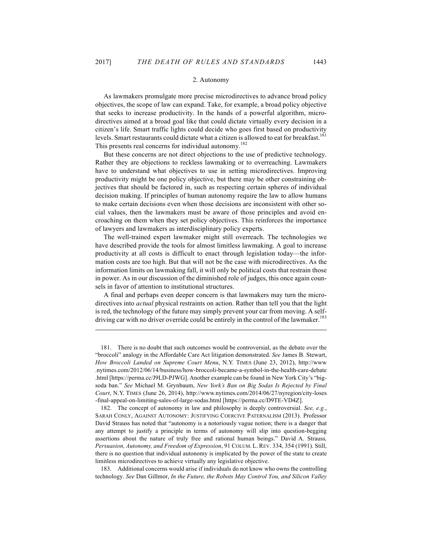$\overline{a}$ 

#### 2. Autonomy

As lawmakers promulgate more precise microdirectives to advance broad policy objectives, the scope of law can expand. Take, for example, a broad policy objective that seeks to increase productivity. In the hands of a powerful algorithm, microdirectives aimed at a broad goal like that could dictate virtually every decision in a citizen's life. Smart traffic lights could decide who goes first based on productivity levels. Smart restaurants could dictate what a citizen is allowed to eat for breakfast.<sup>181</sup> This presents real concerns for individual autonomy.<sup>182</sup>

But these concerns are not direct objections to the use of predictive technology. Rather they are objections to reckless lawmaking or to overreaching. Lawmakers have to understand what objectives to use in setting microdirectives. Improving productivity might be one policy objective, but there may be other constraining objectives that should be factored in, such as respecting certain spheres of individual decision making. If principles of human autonomy require the law to allow humans to make certain decisions even when those decisions are inconsistent with other social values, then the lawmakers must be aware of those principles and avoid encroaching on them when they set policy objectives. This reinforces the importance of lawyers and lawmakers as interdisciplinary policy experts.

The well-trained expert lawmaker might still overreach. The technologies we have described provide the tools for almost limitless lawmaking. A goal to increase productivity at all costs is difficult to enact through legislation today—the information costs are too high. But that will not be the case with microdirectives. As the information limits on lawmaking fall, it will only be political costs that restrain those in power. As in our discussion of the diminished role of judges, this once again counsels in favor of attention to institutional structures.

A final and perhaps even deeper concern is that lawmakers may turn the microdirectives into *actual* physical restraints on action. Rather than tell you that the light is red, the technology of the future may simply prevent your car from moving. A selfdriving car with no driver override could be entirely in the control of the lawmaker.<sup>183</sup>

183. Additional concerns would arise if individuals do not know who owns the controlling technology. *See* Dan Gillmor, *In the Future, the Robots May Control You, and Silicon Valley* 

<sup>181.</sup> There is no doubt that such outcomes would be controversial, as the debate over the "broccoli" analogy in the Affordable Care Act litigation demonstrated. *See* James B. Stewart, *How Broccoli Landed on Supreme Court Menu*, N.Y. TIMES (June 23, 2012), http://www .nytimes.com/2012/06/14/business/how-broccoli-became-a-symbol-in-the-health-care-debate .html [https://perma.cc/J9LD-PJWG]. Another example can be found in New York City's "bigsoda ban." *See* Michael M. Grynbaum, *New York's Ban on Big Sodas Is Rejected by Final Court*, N.Y. TIMES (June 26, 2014), http://www.nytimes.com/2014/06/27/nyregion/city-loses -final-appeal-on-limiting-sales-of-large-sodas.html [https://perma.cc/D9TE-VD4Z].

<sup>182.</sup> The concept of autonomy in law and philosophy is deeply controversial. *See, e.g.*, SARAH CONLY, AGAINST AUTONOMY: JUSTIFYING COERCIVE PATERNALISM (2013). Professor David Strauss has noted that "autonomy is a notoriously vague notion; there is a danger that any attempt to justify a principle in terms of autonomy will slip into question-begging assertions about the nature of truly free and rational human beings." David A. Strauss*, Persuasion, Autonomy, and Freedom of Expression*, 91 COLUM. L. REV. 334, 354 (1991). Still, there is no question that individual autonomy is implicated by the power of the state to create limitless microdirectives to achieve virtually any legislative objective.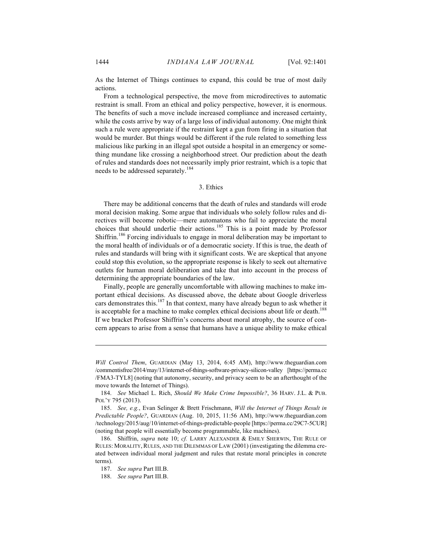As the Internet of Things continues to expand, this could be true of most daily actions.

From a technological perspective, the move from microdirectives to automatic restraint is small. From an ethical and policy perspective, however, it is enormous. The benefits of such a move include increased compliance and increased certainty, while the costs arrive by way of a large loss of individual autonomy. One might think such a rule were appropriate if the restraint kept a gun from firing in a situation that would be murder. But things would be different if the rule related to something less malicious like parking in an illegal spot outside a hospital in an emergency or something mundane like crossing a neighborhood street. Our prediction about the death of rules and standards does not necessarily imply prior restraint, which is a topic that needs to be addressed separately.<sup>184</sup>

## 3. Ethics

There may be additional concerns that the death of rules and standards will erode moral decision making. Some argue that individuals who solely follow rules and directives will become robotic—mere automatons who fail to appreciate the moral choices that should underlie their actions.<sup>185</sup> This is a point made by Professor Shiffrin.<sup>186</sup> Forcing individuals to engage in moral deliberation may be important to the moral health of individuals or of a democratic society. If this is true, the death of rules and standards will bring with it significant costs. We are skeptical that anyone could stop this evolution, so the appropriate response is likely to seek out alternative outlets for human moral deliberation and take that into account in the process of determining the appropriate boundaries of the law.

Finally, people are generally uncomfortable with allowing machines to make important ethical decisions. As discussed above, the debate about Google driverless cars demonstrates this.<sup>187</sup> In that context, many have already begun to ask whether it is acceptable for a machine to make complex ethical decisions about life or death.<sup>188</sup> If we bracket Professor Shiffrin's concerns about moral atrophy, the source of concern appears to arise from a sense that humans have a unique ability to make ethical

*Will Control Them*, GUARDIAN (May 13, 2014, 6:45 AM), http://www.theguardian.com /commentisfree/2014/may/13/internet-of-things-software-privacy-silicon-valley [https://perma.cc /FMA3-TYL8] (noting that autonomy, security, and privacy seem to be an afterthought of the move towards the Internet of Things).

<sup>184.</sup> *See* Michael L. Rich, *Should We Make Crime Impossible?*, 36 HARV. J.L. & PUB. POL'Y 795 (2013).

<sup>185.</sup> *See, e.g.*, Evan Selinger & Brett Frischmann, *Will the Internet of Things Result in Predictable People?*, GUARDIAN (Aug. 10, 2015, 11:56 AM), http://www.theguardian.com /technology/2015/aug/10/internet-of-things-predictable-people [https://perma.cc/29C7-5CUR] (noting that people will essentially become programmable, like machines).

<sup>186.</sup> Shiffrin, *supra* note 10; *cf.* LARRY ALEXANDER & EMILY SHERWIN, THE RULE OF RULES: MORALITY, RULES, AND THE DILEMMAS OF LAW (2001) (investigating the dilemma created between individual moral judgment and rules that restate moral principles in concrete terms).

<sup>187.</sup> *See supra* Part III.B.

<sup>188.</sup> *See supra* Part III.B.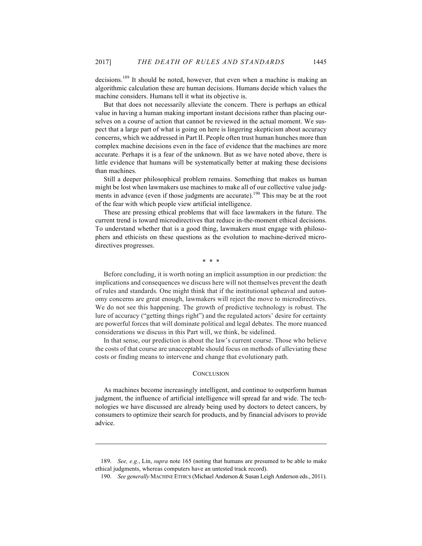decisions.<sup>189</sup> It should be noted, however, that even when a machine is making an algorithmic calculation these are human decisions. Humans decide which values the machine considers. Humans tell it what its objective is.

But that does not necessarily alleviate the concern. There is perhaps an ethical value in having a human making important instant decisions rather than placing ourselves on a course of action that cannot be reviewed in the actual moment. We suspect that a large part of what is going on here is lingering skepticism about accuracy concerns, which we addressed in Part II. People often trust human hunches more than complex machine decisions even in the face of evidence that the machines are more accurate. Perhaps it is a fear of the unknown. But as we have noted above, there is little evidence that humans will be systematically better at making these decisions than machines.

Still a deeper philosophical problem remains. Something that makes us human might be lost when lawmakers use machines to make all of our collective value judgments in advance (even if those judgments are accurate).<sup>190</sup> This may be at the root of the fear with which people view artificial intelligence.

These are pressing ethical problems that will face lawmakers in the future. The current trend is toward microdirectives that reduce in-the-moment ethical decisions. To understand whether that is a good thing, lawmakers must engage with philosophers and ethicists on these questions as the evolution to machine-derived microdirectives progresses.

\* \* \*

Before concluding, it is worth noting an implicit assumption in our prediction: the implications and consequences we discuss here will not themselves prevent the death of rules and standards. One might think that if the institutional upheaval and autonomy concerns are great enough, lawmakers will reject the move to microdirectives. We do not see this happening. The growth of predictive technology is robust. The lure of accuracy ("getting things right") and the regulated actors' desire for certainty are powerful forces that will dominate political and legal debates. The more nuanced considerations we discuss in this Part will, we think, be sidelined.

In that sense, our prediction is about the law's current course. Those who believe the costs of that course are unacceptable should focus on methods of alleviating these costs or finding means to intervene and change that evolutionary path.

#### **CONCLUSION**

As machines become increasingly intelligent, and continue to outperform human judgment, the influence of artificial intelligence will spread far and wide. The technologies we have discussed are already being used by doctors to detect cancers, by consumers to optimize their search for products, and by financial advisors to provide advice.

<sup>189.</sup> *See, e.g.*, Lin, *supra* note 165 (noting that humans are presumed to be able to make ethical judgments, whereas computers have an untested track record).

<sup>190.</sup> *See generally* MACHINE ETHICS (Michael Anderson & Susan Leigh Anderson eds., 2011).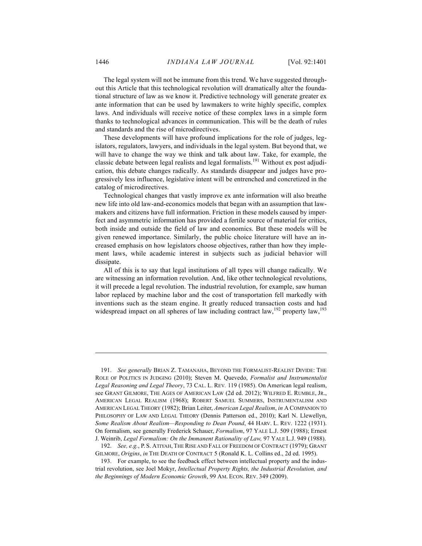The legal system will not be immune from this trend. We have suggested throughout this Article that this technological revolution will dramatically alter the foundational structure of law as we know it. Predictive technology will generate greater ex ante information that can be used by lawmakers to write highly specific, complex laws. And individuals will receive notice of these complex laws in a simple form thanks to technological advances in communication. This will be the death of rules and standards and the rise of microdirectives.

These developments will have profound implications for the role of judges, legislators, regulators, lawyers, and individuals in the legal system. But beyond that, we will have to change the way we think and talk about law. Take, for example, the classic debate between legal realists and legal formalists.<sup>191</sup> Without ex post adjudication, this debate changes radically. As standards disappear and judges have progressively less influence, legislative intent will be entrenched and concretized in the catalog of microdirectives.

Technological changes that vastly improve ex ante information will also breathe new life into old law-and-economics models that began with an assumption that lawmakers and citizens have full information. Friction in these models caused by imperfect and asymmetric information has provided a fertile source of material for critics, both inside and outside the field of law and economics. But these models will be given renewed importance. Similarly, the public choice literature will have an increased emphasis on how legislators choose objectives, rather than how they implement laws, while academic interest in subjects such as judicial behavior will dissipate.

All of this is to say that legal institutions of all types will change radically. We are witnessing an information revolution. And, like other technological revolutions, it will precede a legal revolution. The industrial revolution, for example, saw human labor replaced by machine labor and the cost of transportation fell markedly with inventions such as the steam engine. It greatly reduced transaction costs and had widespread impact on all spheres of law including contract law,<sup>192</sup> property law,<sup>193</sup>

<sup>191.</sup> *See generally* BRIAN Z. TAMANAHA, BEYOND THE FORMALIST-REALIST DIVIDE: THE ROLE OF POLITICS IN JUDGING (2010); Steven M. Quevedo, *Formalist and Instrumentalist Legal Reasoning and Legal Theory*, 73 CAL. L. REV*.* 119 (1985). On American legal realism, see GRANT GILMORE, THE AGES OF AMERICAN LAW (2d ed. 2012); WILFRED E. RUMBLE, JR., AMERICAN LEGAL REALISM (1968); ROBERT SAMUEL SUMMERS, INSTRUMENTALISM AND AMERICAN LEGAL THEORY (1982); Brian Leiter, *American Legal Realism*, *in* A COMPANION TO PHILOSOPHY OF LAW AND LEGAL THEORY (Dennis Patterson ed., 2010); Karl N. Llewellyn, *Some Realism About Realism—Responding to Dean Pound*, 44 HARV. L. REV. 1222 (1931). On formalism, see generally Frederick Schauer, *Formalism*, 97 YALE L.J. 509 (1988); Ernest J. Weinrib, *Legal Formalism: On the Immanent Rationality of Law,* 97 YALE L.J. 949 (1988).

<sup>192.</sup> *See, e.g.*, P. S. ATIYAH, THE RISE AND FALL OF FREEDOM OF CONTRACT (1979); GRANT GILMORE, *Origins*, *in* THE DEATH OF CONTRACT 5 (Ronald K. L. Collins ed., 2d ed. 1995).

<sup>193.</sup> For example, to see the feedback effect between intellectual property and the industrial revolution, see Joel Mokyr, *Intellectual Property Rights, the Industrial Revolution, and the Beginnings of Modern Economic Growth*, 99 AM. ECON. REV. 349 (2009).